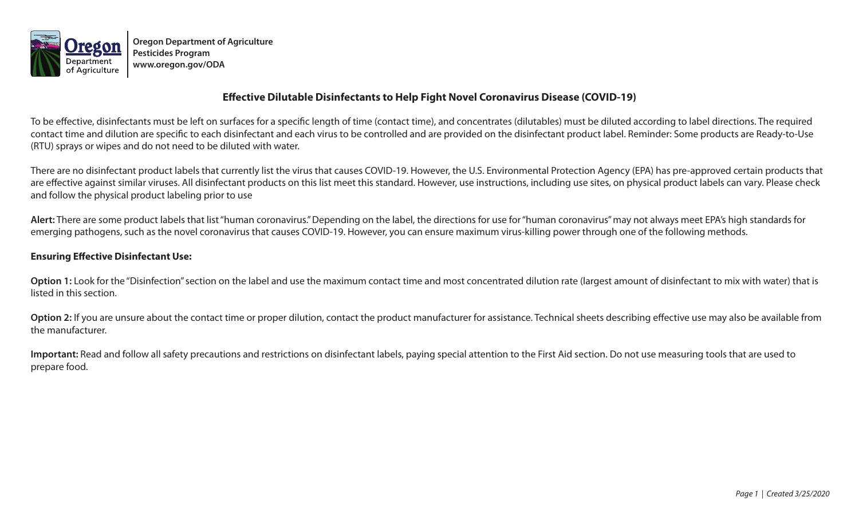

**Oregon Department of Agriculture Pesticides Program www.oregon.gov/ODA**

## **Effective Dilutable Disinfectants to Help Fight Novel Coronavirus Disease (COVID-19)**

To be effective, disinfectants must be left on surfaces for a specific length of time (contact time), and concentrates (dilutables) must be diluted according to label directions. The required contact time and dilution are specific to each disinfectant and each virus to be controlled and are provided on the disinfectant product label. Reminder: Some products are Ready-to-Use (RTU) sprays or wipes and do not need to be diluted with water.

There are no disinfectant product labels that currently list the virus that causes COVID-19. However, the U.S. Environmental Protection Agency (EPA) has pre-approved certain products that are effective against similar viruses. All disinfectant products on this list meet this standard. However, use instructions, including use sites, on physical product labels can vary. Please check and follow the physical product labeling prior to use

**Alert:** There are some product labels that list "human coronavirus." Depending on the label, the directions for use for "human coronavirus" may not always meet EPA's high standards for emerging pathogens, such as the novel coronavirus that causes COVID-19. However, you can ensure maximum virus-killing power through one of the following methods.

## **Ensuring Effective Disinfectant Use:**

Option 1: Look for the "Disinfection" section on the label and use the maximum contact time and most concentrated dilution rate (largest amount of disinfectant to mix with water) that is listed in this section.

Option 2: If you are unsure about the contact time or proper dilution, contact the product manufacturer for assistance. Technical sheets describing effective use may also be available from the manufacturer.

**Important:** Read and follow all safety precautions and restrictions on disinfectant labels, paying special attention to the First Aid section. Do not use measuring tools that are used to prepare food.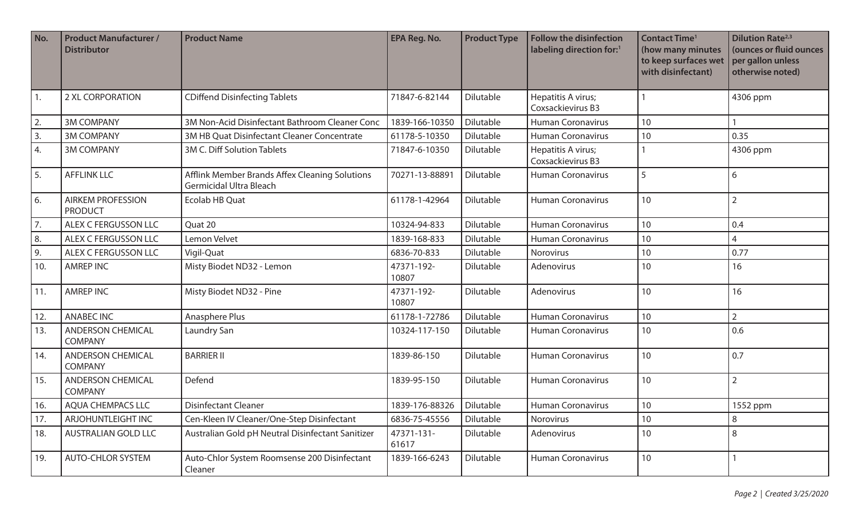| No.            | <b>Product Manufacturer /</b><br><b>Distributor</b> | <b>Product Name</b>                                                              | EPA Reg. No.        | <b>Product Type</b> | <b>Follow the disinfection</b><br>labeling direction for:1 | <b>Contact Time<sup>1</sup></b><br>(how many minutes<br>to keep surfaces wet<br>with disinfectant) | <b>Dilution Rate</b> <sup>2,3</sup><br>(ounces or fluid ounces<br>per gallon unless<br>otherwise noted) |
|----------------|-----------------------------------------------------|----------------------------------------------------------------------------------|---------------------|---------------------|------------------------------------------------------------|----------------------------------------------------------------------------------------------------|---------------------------------------------------------------------------------------------------------|
| 1.             | 2 XL CORPORATION                                    | <b>CDiffend Disinfecting Tablets</b>                                             | 71847-6-82144       | Dilutable           | Hepatitis A virus;<br>Coxsackievirus B3                    |                                                                                                    | 4306 ppm                                                                                                |
| 2.             | <b>3M COMPANY</b>                                   | 3M Non-Acid Disinfectant Bathroom Cleaner Conc                                   | 1839-166-10350      | Dilutable           | <b>Human Coronavirus</b>                                   | 10                                                                                                 |                                                                                                         |
| 3.             | <b>3M COMPANY</b>                                   | 3M HB Quat Disinfectant Cleaner Concentrate                                      | 61178-5-10350       | Dilutable           | <b>Human Coronavirus</b>                                   | 10                                                                                                 | 0.35                                                                                                    |
| $^{\prime}$ 4. | <b>3M COMPANY</b>                                   | 3M C. Diff Solution Tablets                                                      | 71847-6-10350       | Dilutable           | Hepatitis A virus;<br>Coxsackievirus B3                    |                                                                                                    | 4306 ppm                                                                                                |
| 5.             | <b>AFFLINK LLC</b>                                  | Afflink Member Brands Affex Cleaning Solutions<br><b>Germicidal Ultra Bleach</b> | 70271-13-88891      | Dilutable           | <b>Human Coronavirus</b>                                   | 5                                                                                                  | 6                                                                                                       |
| 6.             | <b>AIRKEM PROFESSION</b><br><b>PRODUCT</b>          | <b>Ecolab HB Quat</b>                                                            | 61178-1-42964       | Dilutable           | <b>Human Coronavirus</b>                                   | 10                                                                                                 | $\overline{2}$                                                                                          |
| 7.             | ALEX C FERGUSSON LLC                                | Quat 20                                                                          | 10324-94-833        | Dilutable           | <b>Human Coronavirus</b>                                   | 10                                                                                                 | 0.4                                                                                                     |
| 8.             | ALEX C FERGUSSON LLC                                | Lemon Velvet                                                                     | 1839-168-833        | Dilutable           | <b>Human Coronavirus</b>                                   | 10                                                                                                 | 4                                                                                                       |
| 9.             | ALEX C FERGUSSON LLC                                | Vigil-Quat                                                                       | 6836-70-833         | Dilutable           | Norovirus                                                  | 10                                                                                                 | 0.77                                                                                                    |
| 10.            | <b>AMREP INC</b>                                    | Misty Biodet ND32 - Lemon                                                        | 47371-192-<br>10807 | Dilutable           | Adenovirus                                                 | 10                                                                                                 | 16                                                                                                      |
| 11.            | <b>AMREP INC</b>                                    | Misty Biodet ND32 - Pine                                                         | 47371-192-<br>10807 | Dilutable           | Adenovirus                                                 | 10                                                                                                 | 16                                                                                                      |
| 12.            | <b>ANABEC INC</b>                                   | Anasphere Plus                                                                   | 61178-1-72786       | Dilutable           | <b>Human Coronavirus</b>                                   | 10                                                                                                 | $\overline{2}$                                                                                          |
| 13.            | <b>ANDERSON CHEMICAL</b><br><b>COMPANY</b>          | Laundry San                                                                      | 10324-117-150       | Dilutable           | <b>Human Coronavirus</b>                                   | 10                                                                                                 | 0.6                                                                                                     |
| 14.            | <b>ANDERSON CHEMICAL</b><br><b>COMPANY</b>          | <b>BARRIER II</b>                                                                | 1839-86-150         | Dilutable           | <b>Human Coronavirus</b>                                   | 10                                                                                                 | 0.7                                                                                                     |
| 15.            | <b>ANDERSON CHEMICAL</b><br><b>COMPANY</b>          | Defend                                                                           | 1839-95-150         | Dilutable           | Human Coronavirus                                          | 10                                                                                                 | $\overline{2}$                                                                                          |
| 16.            | <b>AQUA CHEMPACS LLC</b>                            | <b>Disinfectant Cleaner</b>                                                      | 1839-176-88326      | Dilutable           | <b>Human Coronavirus</b>                                   | $10$                                                                                               | 1552 ppm                                                                                                |
| 17.            | ARJOHUNTLEIGHT INC                                  | Cen-Kleen IV Cleaner/One-Step Disinfectant                                       | 6836-75-45556       | Dilutable           | Norovirus                                                  | 10                                                                                                 | 8                                                                                                       |
| 18.            | <b>AUSTRALIAN GOLD LLC</b>                          | Australian Gold pH Neutral Disinfectant Sanitizer                                | 47371-131-<br>61617 | Dilutable           | Adenovirus                                                 | 10                                                                                                 | 8                                                                                                       |
| 19.            | <b>AUTO-CHLOR SYSTEM</b>                            | Auto-Chlor System Roomsense 200 Disinfectant<br>Cleaner                          | 1839-166-6243       | Dilutable           | <b>Human Coronavirus</b>                                   | 10                                                                                                 |                                                                                                         |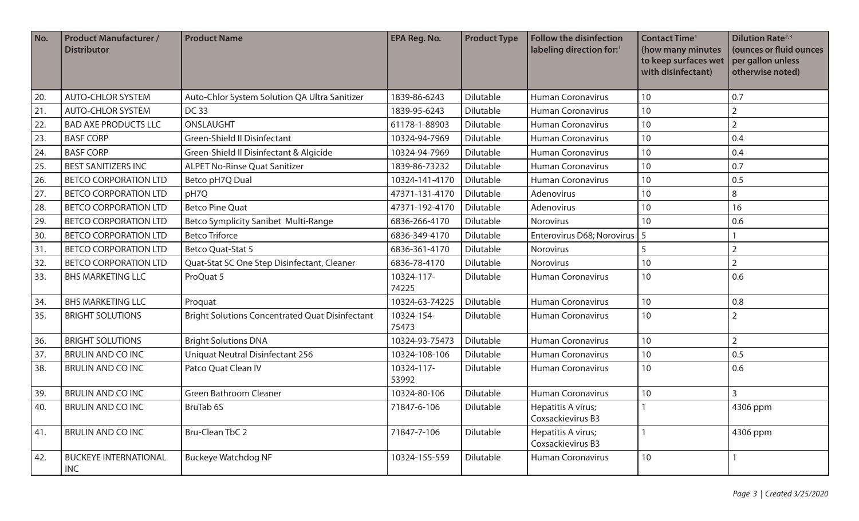| No. | <b>Product Manufacturer /</b><br><b>Distributor</b> | <b>Product Name</b>                                    | EPA Reg. No.        | <b>Product Type</b> | <b>Follow the disinfection</b><br>labeling direction for: <sup>1</sup> | <b>Contact Time<sup>1</sup></b><br>(how many minutes<br>to keep surfaces wet<br>with disinfectant) | <b>Dilution Rate</b> <sup>2,3</sup><br>(ounces or fluid ounces<br>per gallon unless<br>otherwise noted) |
|-----|-----------------------------------------------------|--------------------------------------------------------|---------------------|---------------------|------------------------------------------------------------------------|----------------------------------------------------------------------------------------------------|---------------------------------------------------------------------------------------------------------|
| 20. | <b>AUTO-CHLOR SYSTEM</b>                            | Auto-Chlor System Solution QA Ultra Sanitizer          | 1839-86-6243        | Dilutable           | <b>Human Coronavirus</b>                                               | 10                                                                                                 | 0.7                                                                                                     |
| 21. | <b>AUTO-CHLOR SYSTEM</b>                            | DC 33                                                  | 1839-95-6243        | Dilutable           | <b>Human Coronavirus</b>                                               | 10                                                                                                 | $\overline{2}$                                                                                          |
| 22. | <b>BAD AXE PRODUCTS LLC</b>                         | ONSLAUGHT                                              | 61178-1-88903       | Dilutable           | <b>Human Coronavirus</b>                                               | 10                                                                                                 | $\overline{2}$                                                                                          |
| 23. | <b>BASF CORP</b>                                    | Green-Shield II Disinfectant                           | 10324-94-7969       | Dilutable           | <b>Human Coronavirus</b>                                               | 10                                                                                                 | 0.4                                                                                                     |
| 24. | <b>BASF CORP</b>                                    | Green-Shield II Disinfectant & Algicide                | 10324-94-7969       | Dilutable           | <b>Human Coronavirus</b>                                               | 10                                                                                                 | 0.4                                                                                                     |
| 25. | <b>BEST SANITIZERS INC</b>                          | <b>ALPET No-Rinse Quat Sanitizer</b>                   | 1839-86-73232       | Dilutable           | <b>Human Coronavirus</b>                                               | 10                                                                                                 | 0.7                                                                                                     |
| 26. | <b>BETCO CORPORATION LTD</b>                        | Betco pH7Q Dual                                        | 10324-141-4170      | Dilutable           | <b>Human Coronavirus</b>                                               | 10                                                                                                 | 0.5                                                                                                     |
| 27. | <b>BETCO CORPORATION LTD</b>                        | pH7Q                                                   | 47371-131-4170      | Dilutable           | Adenovirus                                                             | 10                                                                                                 | 8                                                                                                       |
| 28. | <b>BETCO CORPORATION LTD</b>                        | <b>Betco Pine Quat</b>                                 | 47371-192-4170      | Dilutable           | Adenovirus                                                             | 10                                                                                                 | 16                                                                                                      |
| 29. | <b>BETCO CORPORATION LTD</b>                        | <b>Betco Symplicity Sanibet Multi-Range</b>            | 6836-266-4170       | Dilutable           | Norovirus                                                              | 10                                                                                                 | 0.6                                                                                                     |
| 30. | <b>BETCO CORPORATION LTD</b>                        | <b>Betco Triforce</b>                                  | 6836-349-4170       | Dilutable           | Enterovirus D68; Norovirus   5                                         |                                                                                                    |                                                                                                         |
| 31. | <b>BETCO CORPORATION LTD</b>                        | Betco Quat-Stat 5                                      | 6836-361-4170       | Dilutable           | Norovirus                                                              | 5                                                                                                  | $\overline{2}$                                                                                          |
| 32. | <b>BETCO CORPORATION LTD</b>                        | Quat-Stat SC One Step Disinfectant, Cleaner            | 6836-78-4170        | Dilutable           | Norovirus                                                              | 10                                                                                                 | $\overline{2}$                                                                                          |
| 33. | <b>BHS MARKETING LLC</b>                            | ProQuat 5                                              | 10324-117-<br>74225 | Dilutable           | <b>Human Coronavirus</b>                                               | 10                                                                                                 | 0.6                                                                                                     |
| 34. | <b>BHS MARKETING LLC</b>                            | Proquat                                                | 10324-63-74225      | Dilutable           | Human Coronavirus                                                      | 10                                                                                                 | 0.8                                                                                                     |
| 35. | <b>BRIGHT SOLUTIONS</b>                             | <b>Bright Solutions Concentrated Quat Disinfectant</b> | 10324-154-<br>75473 | Dilutable           | <b>Human Coronavirus</b>                                               | 10                                                                                                 | $\overline{2}$                                                                                          |
| 36. | <b>BRIGHT SOLUTIONS</b>                             | <b>Bright Solutions DNA</b>                            | 10324-93-75473      | Dilutable           | <b>Human Coronavirus</b>                                               | 10                                                                                                 | $\overline{2}$                                                                                          |
| 37. | <b>BRULIN AND CO INC</b>                            | Uniquat Neutral Disinfectant 256                       | 10324-108-106       | Dilutable           | <b>Human Coronavirus</b>                                               | 10                                                                                                 | 0.5                                                                                                     |
| 38. | <b>BRULIN AND CO INC</b>                            | Patco Quat Clean IV                                    | 10324-117-<br>53992 | Dilutable           | <b>Human Coronavirus</b>                                               | 10                                                                                                 | 0.6                                                                                                     |
| 39. | <b>BRULIN AND CO INC</b>                            | Green Bathroom Cleaner                                 | 10324-80-106        | Dilutable           | <b>Human Coronavirus</b>                                               | 10                                                                                                 | 3                                                                                                       |
| 40. | <b>BRULIN AND CO INC</b>                            | BruTab 6S                                              | 71847-6-106         | Dilutable           | Hepatitis A virus;<br>Coxsackievirus B3                                |                                                                                                    | 4306 ppm                                                                                                |
| 41. | <b>BRULIN AND CO INC</b>                            | <b>Bru-Clean TbC 2</b>                                 | 71847-7-106         | Dilutable           | Hepatitis A virus;<br>Coxsackievirus B3                                |                                                                                                    | 4306 ppm                                                                                                |
| 42. | <b>BUCKEYE INTERNATIONAL</b><br><b>INC</b>          | <b>Buckeye Watchdog NF</b>                             | 10324-155-559       | Dilutable           | <b>Human Coronavirus</b>                                               | 10                                                                                                 | 1                                                                                                       |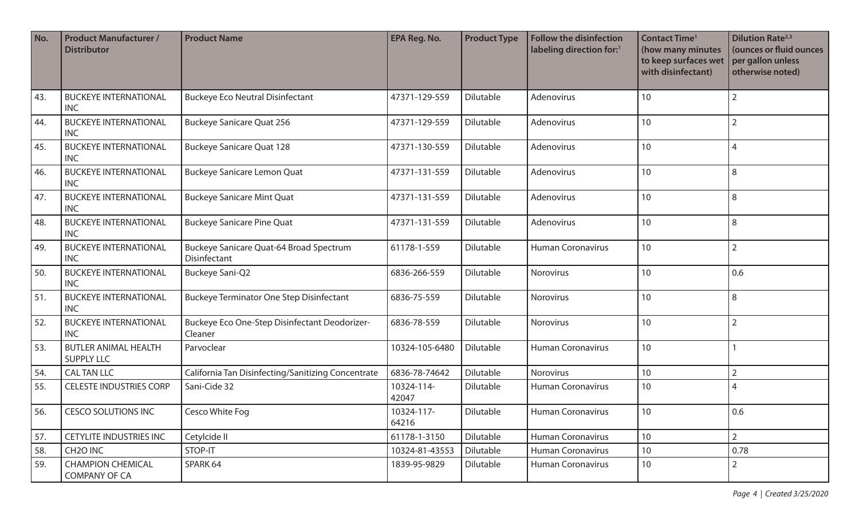| No. | <b>Product Manufacturer /</b><br><b>Distributor</b> | <b>Product Name</b>                                      | EPA Reg. No.        | <b>Product Type</b> | <b>Follow the disinfection</b><br>labeling direction for:1 | <b>Contact Time<sup>1</sup></b><br>(how many minutes<br>to keep surfaces wet<br>with disinfectant) | <b>Dilution Rate</b> <sup>2,3</sup><br>(ounces or fluid ounces<br>per gallon unless<br>otherwise noted) |
|-----|-----------------------------------------------------|----------------------------------------------------------|---------------------|---------------------|------------------------------------------------------------|----------------------------------------------------------------------------------------------------|---------------------------------------------------------------------------------------------------------|
| 43. | <b>BUCKEYE INTERNATIONAL</b><br><b>INC</b>          | <b>Buckeye Eco Neutral Disinfectant</b>                  | 47371-129-559       | Dilutable           | Adenovirus                                                 | 10                                                                                                 | $\overline{2}$                                                                                          |
| 44. | <b>BUCKEYE INTERNATIONAL</b><br><b>INC</b>          | <b>Buckeye Sanicare Quat 256</b>                         | 47371-129-559       | Dilutable           | Adenovirus                                                 | 10                                                                                                 | $\overline{2}$                                                                                          |
| 45. | <b>BUCKEYE INTERNATIONAL</b><br><b>INC</b>          | <b>Buckeye Sanicare Quat 128</b>                         | 47371-130-559       | Dilutable           | Adenovirus                                                 | 10                                                                                                 | 4                                                                                                       |
| 46. | <b>BUCKEYE INTERNATIONAL</b><br><b>INC</b>          | <b>Buckeye Sanicare Lemon Quat</b>                       | 47371-131-559       | Dilutable           | Adenovirus                                                 | 10                                                                                                 | 8                                                                                                       |
| 47. | <b>BUCKEYE INTERNATIONAL</b><br><b>INC</b>          | <b>Buckeye Sanicare Mint Quat</b>                        | 47371-131-559       | Dilutable           | Adenovirus                                                 | 10                                                                                                 | 8                                                                                                       |
| 48. | <b>BUCKEYE INTERNATIONAL</b><br><b>INC</b>          | <b>Buckeye Sanicare Pine Quat</b>                        | 47371-131-559       | Dilutable           | Adenovirus                                                 | 10                                                                                                 | 8                                                                                                       |
| 49. | <b>BUCKEYE INTERNATIONAL</b><br><b>INC</b>          | Buckeye Sanicare Quat-64 Broad Spectrum<br>Disinfectant  | 61178-1-559         | Dilutable           | <b>Human Coronavirus</b>                                   | 10                                                                                                 | $\overline{2}$                                                                                          |
| 50. | <b>BUCKEYE INTERNATIONAL</b><br><b>INC</b>          | Buckeye Sani-Q2                                          | 6836-266-559        | Dilutable           | Norovirus                                                  | 10                                                                                                 | 0.6                                                                                                     |
| 51. | <b>BUCKEYE INTERNATIONAL</b><br><b>INC</b>          | <b>Buckeye Terminator One Step Disinfectant</b>          | 6836-75-559         | Dilutable           | Norovirus                                                  | 10                                                                                                 | 8                                                                                                       |
| 52. | <b>BUCKEYE INTERNATIONAL</b><br><b>INC</b>          | Buckeye Eco One-Step Disinfectant Deodorizer-<br>Cleaner | 6836-78-559         | Dilutable           | Norovirus                                                  | 10                                                                                                 | $\overline{2}$                                                                                          |
| 53. | <b>BUTLER ANIMAL HEALTH</b><br><b>SUPPLY LLC</b>    | Parvoclear                                               | 10324-105-6480      | Dilutable           | <b>Human Coronavirus</b>                                   | 10                                                                                                 |                                                                                                         |
| 54. | <b>CALTAN LLC</b>                                   | California Tan Disinfecting/Sanitizing Concentrate       | 6836-78-74642       | Dilutable           | Norovirus                                                  | 10                                                                                                 | $\overline{2}$                                                                                          |
| 55. | <b>CELESTE INDUSTRIES CORP</b>                      | Sani-Cide 32                                             | 10324-114-<br>42047 | Dilutable           | <b>Human Coronavirus</b>                                   | 10                                                                                                 | 4                                                                                                       |
| 56. | <b>CESCO SOLUTIONS INC</b>                          | Cesco White Fog                                          | 10324-117-<br>64216 | Dilutable           | Human Coronavirus                                          | 10 <sup>°</sup>                                                                                    | 0.6                                                                                                     |
| 57. | <b>CETYLITE INDUSTRIES INC</b>                      | Cetylcide II                                             | 61178-1-3150        | Dilutable           | <b>Human Coronavirus</b>                                   | 10 <sup>°</sup>                                                                                    | $\overline{2}$                                                                                          |
| 58. | CH <sub>2</sub> O INC                               | STOP-IT                                                  | 10324-81-43553      | Dilutable           | <b>Human Coronavirus</b>                                   | 10 <sup>°</sup>                                                                                    | 0.78                                                                                                    |
| 59. | <b>CHAMPION CHEMICAL</b><br><b>COMPANY OF CA</b>    | SPARK 64                                                 | 1839-95-9829        | Dilutable           | Human Coronavirus                                          | 10                                                                                                 | $\overline{2}$                                                                                          |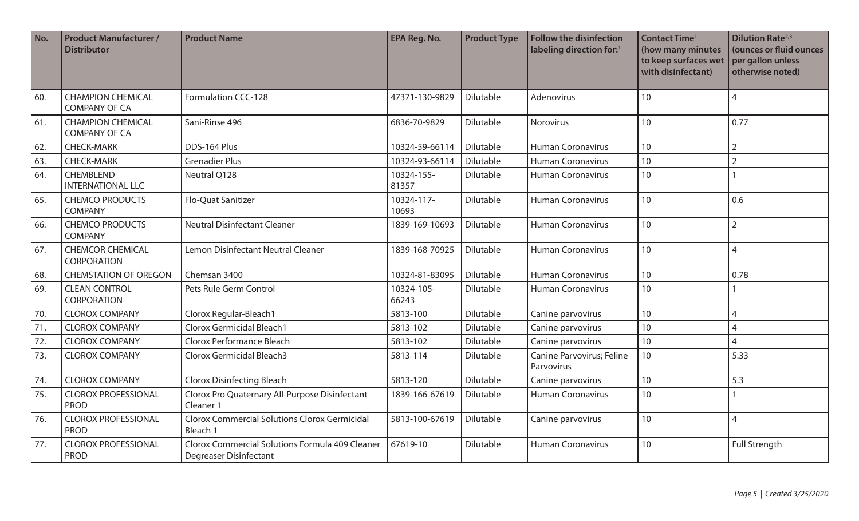| No. | <b>Product Manufacturer /</b><br><b>Distributor</b> | <b>Product Name</b>                                                              | <b>EPA Reg. No.</b> | <b>Product Type</b> | <b>Follow the disinfection</b><br>labeling direction for:1 | <b>Contact Time<sup>1</sup></b><br>(how many minutes<br>to keep surfaces wet<br>with disinfectant) | <b>Dilution Rate</b> <sup>2,3</sup><br>(ounces or fluid ounces<br>per gallon unless<br>otherwise noted) |
|-----|-----------------------------------------------------|----------------------------------------------------------------------------------|---------------------|---------------------|------------------------------------------------------------|----------------------------------------------------------------------------------------------------|---------------------------------------------------------------------------------------------------------|
| 60. | <b>CHAMPION CHEMICAL</b><br><b>COMPANY OF CA</b>    | Formulation CCC-128                                                              | 47371-130-9829      | Dilutable           | Adenovirus                                                 | 10                                                                                                 | 4                                                                                                       |
| 61. | <b>CHAMPION CHEMICAL</b><br><b>COMPANY OF CA</b>    | Sani-Rinse 496                                                                   | 6836-70-9829        | Dilutable           | Norovirus                                                  | 10                                                                                                 | 0.77                                                                                                    |
| 62. | <b>CHECK-MARK</b>                                   | DDS-164 Plus                                                                     | 10324-59-66114      | Dilutable           | <b>Human Coronavirus</b>                                   | 10                                                                                                 | $\overline{2}$                                                                                          |
| 63. | <b>CHECK-MARK</b>                                   | <b>Grenadier Plus</b>                                                            | 10324-93-66114      | Dilutable           | Human Coronavirus                                          | 10                                                                                                 | $\overline{2}$                                                                                          |
| 64. | CHEMBLEND<br><b>INTERNATIONAL LLC</b>               | Neutral Q128                                                                     | 10324-155-<br>81357 | Dilutable           | <b>Human Coronavirus</b>                                   | 10                                                                                                 |                                                                                                         |
| 65. | <b>CHEMCO PRODUCTS</b><br><b>COMPANY</b>            | Flo-Quat Sanitizer                                                               | 10324-117-<br>10693 | Dilutable           | <b>Human Coronavirus</b>                                   | 10                                                                                                 | 0.6                                                                                                     |
| 66. | <b>CHEMCO PRODUCTS</b><br><b>COMPANY</b>            | <b>Neutral Disinfectant Cleaner</b>                                              | 1839-169-10693      | Dilutable           | <b>Human Coronavirus</b>                                   | 10                                                                                                 | $\overline{2}$                                                                                          |
| 67. | <b>CHEMCOR CHEMICAL</b><br><b>CORPORATION</b>       | Lemon Disinfectant Neutral Cleaner                                               | 1839-168-70925      | Dilutable           | <b>Human Coronavirus</b>                                   | 10                                                                                                 | $\overline{4}$                                                                                          |
| 68. | <b>CHEMSTATION OF OREGON</b>                        | Chemsan 3400                                                                     | 10324-81-83095      | Dilutable           | <b>Human Coronavirus</b>                                   | 10                                                                                                 | 0.78                                                                                                    |
| 69. | <b>CLEAN CONTROL</b><br><b>CORPORATION</b>          | Pets Rule Germ Control                                                           | 10324-105-<br>66243 | Dilutable           | <b>Human Coronavirus</b>                                   | 10                                                                                                 |                                                                                                         |
| 70. | <b>CLOROX COMPANY</b>                               | Clorox Regular-Bleach1                                                           | 5813-100            | Dilutable           | Canine parvovirus                                          | 10                                                                                                 | 4                                                                                                       |
| 71. | <b>CLOROX COMPANY</b>                               | Clorox Germicidal Bleach1                                                        | 5813-102            | Dilutable           | Canine parvovirus                                          | 10                                                                                                 | $\overline{4}$                                                                                          |
| 72. | <b>CLOROX COMPANY</b>                               | Clorox Performance Bleach                                                        | 5813-102            | Dilutable           | Canine parvovirus                                          | 10                                                                                                 | $\overline{4}$                                                                                          |
| 73. | <b>CLOROX COMPANY</b>                               | Clorox Germicidal Bleach3                                                        | 5813-114            | Dilutable           | Canine Parvovirus; Feline<br>Parvovirus                    | 10                                                                                                 | 5.33                                                                                                    |
| 74. | <b>CLOROX COMPANY</b>                               | <b>Clorox Disinfecting Bleach</b>                                                | 5813-120            | Dilutable           | Canine parvovirus                                          | 10                                                                                                 | 5.3                                                                                                     |
| 75. | <b>CLOROX PROFESSIONAL</b><br><b>PROD</b>           | Clorox Pro Quaternary All-Purpose Disinfectant<br>Cleaner 1                      | 1839-166-67619      | Dilutable           | <b>Human Coronavirus</b>                                   | 10                                                                                                 |                                                                                                         |
| 76. | <b>CLOROX PROFESSIONAL</b><br><b>PROD</b>           | <b>Clorox Commercial Solutions Clorox Germicidal</b><br>Bleach 1                 | 5813-100-67619      | Dilutable           | Canine parvovirus                                          | 10                                                                                                 | $\overline{4}$                                                                                          |
| 77. | <b>CLOROX PROFESSIONAL</b><br><b>PROD</b>           | Clorox Commercial Solutions Formula 409 Cleaner<br><b>Degreaser Disinfectant</b> | 67619-10            | Dilutable           | <b>Human Coronavirus</b>                                   | 10                                                                                                 | <b>Full Strength</b>                                                                                    |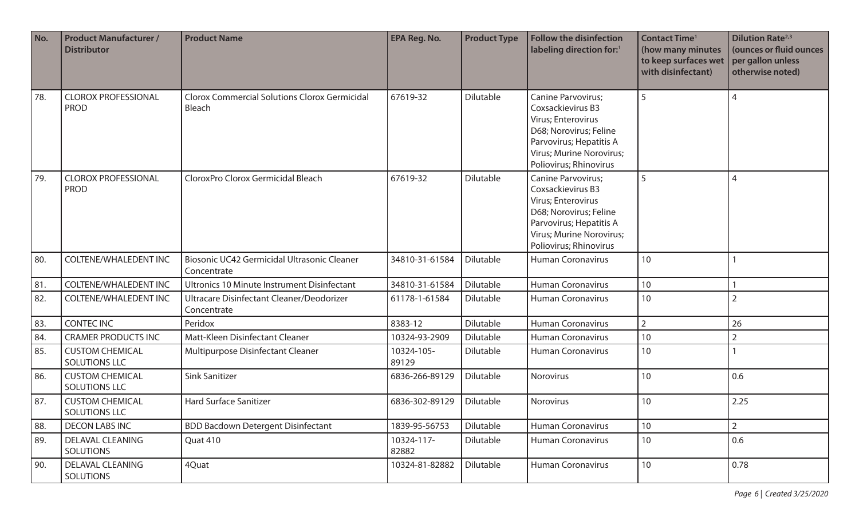| No. | <b>Product Manufacturer /</b><br><b>Distributor</b> | <b>Product Name</b>                                            | <b>EPA Reg. No.</b> | <b>Product Type</b> | <b>Follow the disinfection</b><br>labeling direction for:1                                                                                                               | <b>Contact Time<sup>1</sup></b><br>(how many minutes<br>to keep surfaces wet<br>with disinfectant) | <b>Dilution Rate</b> <sup>2,3</sup><br>(ounces or fluid ounces<br>per gallon unless<br>otherwise noted) |
|-----|-----------------------------------------------------|----------------------------------------------------------------|---------------------|---------------------|--------------------------------------------------------------------------------------------------------------------------------------------------------------------------|----------------------------------------------------------------------------------------------------|---------------------------------------------------------------------------------------------------------|
| 78. | <b>CLOROX PROFESSIONAL</b><br><b>PROD</b>           | <b>Clorox Commercial Solutions Clorox Germicidal</b><br>Bleach | 67619-32            | Dilutable           | Canine Parvovirus;<br>Coxsackievirus B3<br>Virus; Enterovirus<br>D68; Norovirus; Feline<br>Parvovirus; Hepatitis A<br>Virus; Murine Norovirus;<br>Poliovirus; Rhinovirus | 5                                                                                                  | $\overline{4}$                                                                                          |
| 79. | <b>CLOROX PROFESSIONAL</b><br><b>PROD</b>           | CloroxPro Clorox Germicidal Bleach                             | 67619-32            | Dilutable           | Canine Parvovirus;<br>Coxsackievirus B3<br>Virus; Enterovirus<br>D68; Norovirus; Feline<br>Parvovirus; Hepatitis A<br>Virus; Murine Norovirus;<br>Poliovirus; Rhinovirus | 5                                                                                                  | $\overline{4}$                                                                                          |
| 80. | <b>COLTENE/WHALEDENT INC</b>                        | Biosonic UC42 Germicidal Ultrasonic Cleaner<br>Concentrate     | 34810-31-61584      | Dilutable           | <b>Human Coronavirus</b>                                                                                                                                                 | 10                                                                                                 |                                                                                                         |
| 81. | <b>COLTENE/WHALEDENT INC</b>                        | <b>Ultronics 10 Minute Instrument Disinfectant</b>             | 34810-31-61584      | Dilutable           | <b>Human Coronavirus</b>                                                                                                                                                 | 10                                                                                                 |                                                                                                         |
| 82. | <b>COLTENE/WHALEDENT INC</b>                        | Ultracare Disinfectant Cleaner/Deodorizer<br>Concentrate       | 61178-1-61584       | Dilutable           | <b>Human Coronavirus</b>                                                                                                                                                 | 10                                                                                                 | $\overline{2}$                                                                                          |
| 83. | <b>CONTEC INC</b>                                   | Peridox                                                        | 8383-12             | Dilutable           | <b>Human Coronavirus</b>                                                                                                                                                 | $\overline{2}$                                                                                     | 26                                                                                                      |
| 84. | <b>CRAMER PRODUCTS INC</b>                          | Matt-Kleen Disinfectant Cleaner                                | 10324-93-2909       | Dilutable           | <b>Human Coronavirus</b>                                                                                                                                                 | 10                                                                                                 | $\overline{2}$                                                                                          |
| 85. | <b>CUSTOM CHEMICAL</b><br><b>SOLUTIONS LLC</b>      | Multipurpose Disinfectant Cleaner                              | 10324-105-<br>89129 | Dilutable           | <b>Human Coronavirus</b>                                                                                                                                                 | 10                                                                                                 |                                                                                                         |
| 86. | <b>CUSTOM CHEMICAL</b><br><b>SOLUTIONS LLC</b>      | <b>Sink Sanitizer</b>                                          | 6836-266-89129      | Dilutable           | Norovirus                                                                                                                                                                | 10                                                                                                 | 0.6                                                                                                     |
| 87. | <b>CUSTOM CHEMICAL</b><br>SOLUTIONS LLC             | <b>Hard Surface Sanitizer</b>                                  | 6836-302-89129      | Dilutable           | Norovirus                                                                                                                                                                | 10                                                                                                 | 2.25                                                                                                    |
| 88. | <b>DECON LABS INC</b>                               | <b>BDD Bacdown Detergent Disinfectant</b>                      | 1839-95-56753       | Dilutable           | <b>Human Coronavirus</b>                                                                                                                                                 | 10                                                                                                 | $\overline{2}$                                                                                          |
| 89. | <b>DELAVAL CLEANING</b><br><b>SOLUTIONS</b>         | Quat 410                                                       | 10324-117-<br>82882 | Dilutable           | Human Coronavirus                                                                                                                                                        | 10                                                                                                 | 0.6                                                                                                     |
| 90. | <b>DELAVAL CLEANING</b><br><b>SOLUTIONS</b>         | 4Quat                                                          | 10324-81-82882      | Dilutable           | Human Coronavirus                                                                                                                                                        | 10                                                                                                 | 0.78                                                                                                    |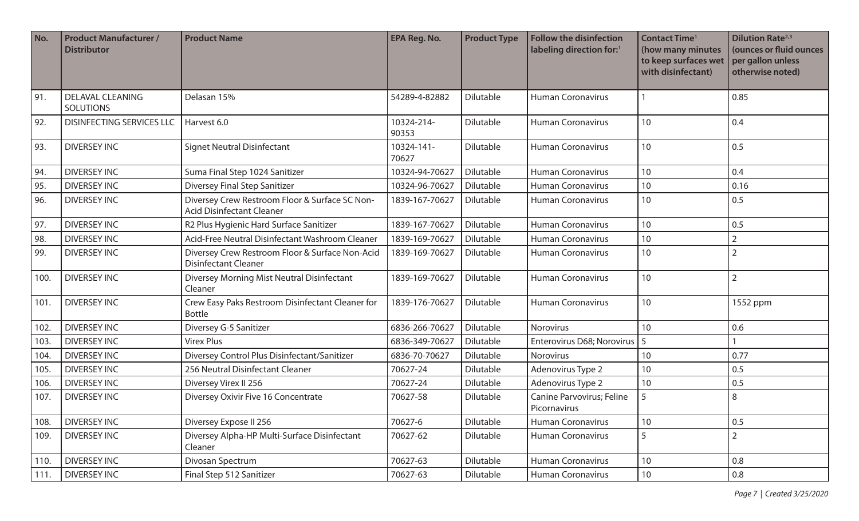| No.  | <b>Product Manufacturer /</b><br><b>Distributor</b> | <b>Product Name</b>                                                                | <b>EPA Reg. No.</b> | <b>Product Type</b> | <b>Follow the disinfection</b><br>labeling direction for:1 | <b>Contact Time<sup>1</sup></b><br>(how many minutes<br>to keep surfaces wet<br>with disinfectant) | <b>Dilution Rate</b> <sup>2,3</sup><br>(ounces or fluid ounces<br>per gallon unless<br>otherwise noted) |
|------|-----------------------------------------------------|------------------------------------------------------------------------------------|---------------------|---------------------|------------------------------------------------------------|----------------------------------------------------------------------------------------------------|---------------------------------------------------------------------------------------------------------|
| 91.  | <b>DELAVAL CLEANING</b><br><b>SOLUTIONS</b>         | Delasan 15%                                                                        | 54289-4-82882       | Dilutable           | <b>Human Coronavirus</b>                                   |                                                                                                    | 0.85                                                                                                    |
| 92.  | <b>DISINFECTING SERVICES LLC</b>                    | Harvest 6.0                                                                        | 10324-214-<br>90353 | Dilutable           | <b>Human Coronavirus</b>                                   | 10                                                                                                 | 0.4                                                                                                     |
| 93.  | <b>DIVERSEY INC</b>                                 | <b>Signet Neutral Disinfectant</b>                                                 | 10324-141-<br>70627 | Dilutable           | <b>Human Coronavirus</b>                                   | 10                                                                                                 | 0.5                                                                                                     |
| 94.  | <b>DIVERSEY INC</b>                                 | Suma Final Step 1024 Sanitizer                                                     | 10324-94-70627      | Dilutable           | <b>Human Coronavirus</b>                                   | 10                                                                                                 | 0.4                                                                                                     |
| 95.  | <b>DIVERSEY INC</b>                                 | Diversey Final Step Sanitizer                                                      | 10324-96-70627      | Dilutable           | <b>Human Coronavirus</b>                                   | 10                                                                                                 | 0.16                                                                                                    |
| 96.  | <b>DIVERSEY INC</b>                                 | Diversey Crew Restroom Floor & Surface SC Non-<br><b>Acid Disinfectant Cleaner</b> | 1839-167-70627      | Dilutable           | <b>Human Coronavirus</b>                                   | 10                                                                                                 | 0.5                                                                                                     |
| 97.  | <b>DIVERSEY INC</b>                                 | R2 Plus Hygienic Hard Surface Sanitizer                                            | 1839-167-70627      | Dilutable           | <b>Human Coronavirus</b>                                   | 10                                                                                                 | 0.5                                                                                                     |
| 98.  | <b>DIVERSEY INC</b>                                 | Acid-Free Neutral Disinfectant Washroom Cleaner                                    | 1839-169-70627      | Dilutable           | <b>Human Coronavirus</b>                                   | 10                                                                                                 | $\overline{2}$                                                                                          |
| 99.  | <b>DIVERSEY INC</b>                                 | Diversey Crew Restroom Floor & Surface Non-Acid<br><b>Disinfectant Cleaner</b>     | 1839-169-70627      | Dilutable           | <b>Human Coronavirus</b>                                   | 10                                                                                                 | $\overline{2}$                                                                                          |
| 100. | <b>DIVERSEY INC</b>                                 | Diversey Morning Mist Neutral Disinfectant<br>Cleaner                              | 1839-169-70627      | Dilutable           | <b>Human Coronavirus</b>                                   | 10                                                                                                 | $\overline{2}$                                                                                          |
| 101. | <b>DIVERSEY INC</b>                                 | Crew Easy Paks Restroom Disinfectant Cleaner for<br><b>Bottle</b>                  | 1839-176-70627      | Dilutable           | <b>Human Coronavirus</b>                                   | 10                                                                                                 | 1552 ppm                                                                                                |
| 102. | <b>DIVERSEY INC</b>                                 | Diversey G-5 Sanitizer                                                             | 6836-266-70627      | Dilutable           | Norovirus                                                  | 10                                                                                                 | 0.6                                                                                                     |
| 103. | <b>DIVERSEY INC</b>                                 | <b>Virex Plus</b>                                                                  | 6836-349-70627      | Dilutable           | Enterovirus D68; Norovirus   5                             |                                                                                                    |                                                                                                         |
| 104. | <b>DIVERSEY INC</b>                                 | Diversey Control Plus Disinfectant/Sanitizer                                       | 6836-70-70627       | Dilutable           | Norovirus                                                  | 10                                                                                                 | 0.77                                                                                                    |
| 105. | <b>DIVERSEY INC</b>                                 | 256 Neutral Disinfectant Cleaner                                                   | 70627-24            | Dilutable           | Adenovirus Type 2                                          | 10                                                                                                 | 0.5                                                                                                     |
| 106. | <b>DIVERSEY INC</b>                                 | Diversey Virex II 256                                                              | 70627-24            | Dilutable           | Adenovirus Type 2                                          | 10                                                                                                 | 0.5                                                                                                     |
| 107. | <b>DIVERSEY INC</b>                                 | Diversey Oxivir Five 16 Concentrate                                                | 70627-58            | Dilutable           | Canine Parvovirus; Feline<br>Picornavirus                  | 5                                                                                                  | 8                                                                                                       |
| 108. | <b>DIVERSEY INC</b>                                 | Diversey Expose II 256                                                             | 70627-6             | Dilutable           | <b>Human Coronavirus</b>                                   | 10                                                                                                 | 0.5                                                                                                     |
| 109. | <b>DIVERSEY INC</b>                                 | Diversey Alpha-HP Multi-Surface Disinfectant<br>Cleaner                            | 70627-62            | Dilutable           | Human Coronavirus                                          | 5                                                                                                  | $\overline{2}$                                                                                          |
| 110. | <b>DIVERSEY INC</b>                                 | Divosan Spectrum                                                                   | 70627-63            | Dilutable           | Human Coronavirus                                          | 10                                                                                                 | 0.8                                                                                                     |
| 111. | DIVERSEY INC                                        | Final Step 512 Sanitizer                                                           | 70627-63            | Dilutable           | Human Coronavirus                                          | $10\,$                                                                                             | 0.8                                                                                                     |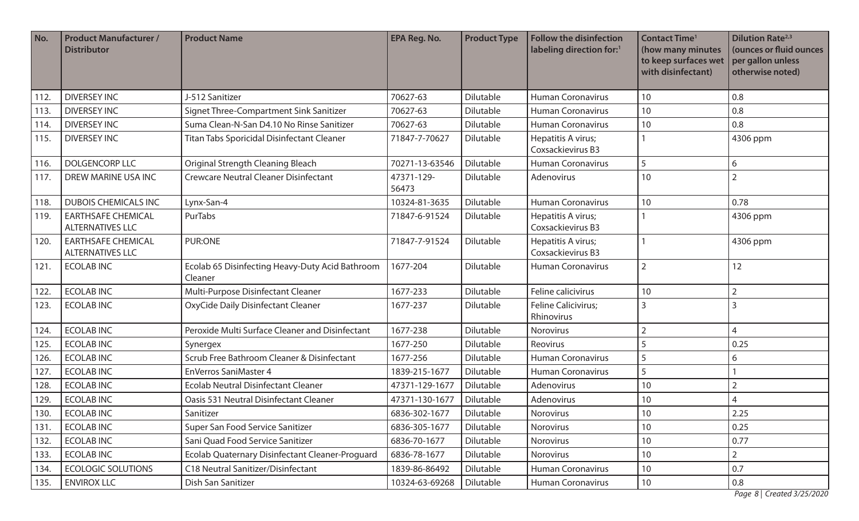| No.  | <b>Product Manufacturer /</b><br><b>Distributor</b>  | <b>Product Name</b>                                        | <b>EPA Reg. No.</b> | <b>Product Type</b> | <b>Follow the disinfection</b><br>labeling direction for:1 | <b>Contact Time<sup>1</sup></b><br>(how many minutes<br>to keep surfaces wet<br>with disinfectant) | <b>Dilution Rate</b> <sup>2,3</sup><br>(ounces or fluid ounces<br>per gallon unless<br>otherwise noted) |
|------|------------------------------------------------------|------------------------------------------------------------|---------------------|---------------------|------------------------------------------------------------|----------------------------------------------------------------------------------------------------|---------------------------------------------------------------------------------------------------------|
| 112. | <b>DIVERSEY INC</b>                                  | J-512 Sanitizer                                            | 70627-63            | Dilutable           | <b>Human Coronavirus</b>                                   | 10                                                                                                 | 0.8                                                                                                     |
| 113. | <b>DIVERSEY INC</b>                                  | Signet Three-Compartment Sink Sanitizer                    | 70627-63            | Dilutable           | <b>Human Coronavirus</b>                                   | 10                                                                                                 | 0.8                                                                                                     |
| 114. | <b>DIVERSEY INC</b>                                  | Suma Clean-N-San D4.10 No Rinse Sanitizer                  | 70627-63            | Dilutable           | <b>Human Coronavirus</b>                                   | 10                                                                                                 | 0.8                                                                                                     |
| 115. | <b>DIVERSEY INC</b>                                  | Titan Tabs Sporicidal Disinfectant Cleaner                 | 71847-7-70627       | Dilutable           | Hepatitis A virus;<br>Coxsackievirus B3                    |                                                                                                    | 4306 ppm                                                                                                |
| 116. | <b>DOLGENCORP LLC</b>                                | Original Strength Cleaning Bleach                          | 70271-13-63546      | Dilutable           | <b>Human Coronavirus</b>                                   | 5                                                                                                  | 6                                                                                                       |
| 117. | DREW MARINE USA INC                                  | <b>Crewcare Neutral Cleaner Disinfectant</b>               | 47371-129-<br>56473 | Dilutable           | Adenovirus                                                 | 10                                                                                                 | $\overline{2}$                                                                                          |
| 118. | <b>DUBOIS CHEMICALS INC</b>                          | Lynx-San-4                                                 | 10324-81-3635       | Dilutable           | <b>Human Coronavirus</b>                                   | 10                                                                                                 | 0.78                                                                                                    |
| 119. | <b>EARTHSAFE CHEMICAL</b><br><b>ALTERNATIVES LLC</b> | PurTabs                                                    | 71847-6-91524       | Dilutable           | Hepatitis A virus;<br>Coxsackievirus B3                    |                                                                                                    | 4306 ppm                                                                                                |
| 120. | <b>EARTHSAFE CHEMICAL</b><br><b>ALTERNATIVES LLC</b> | PUR:ONE                                                    | 71847-7-91524       | Dilutable           | Hepatitis A virus;<br>Coxsackievirus B3                    |                                                                                                    | 4306 ppm                                                                                                |
| 121. | <b>ECOLABINC</b>                                     | Ecolab 65 Disinfecting Heavy-Duty Acid Bathroom<br>Cleaner | 1677-204            | Dilutable           | <b>Human Coronavirus</b>                                   | $\overline{2}$                                                                                     | 12                                                                                                      |
| 122. | <b>ECOLABINC</b>                                     | Multi-Purpose Disinfectant Cleaner                         | 1677-233            | Dilutable           | Feline calicivirus                                         | 10                                                                                                 | $\overline{2}$                                                                                          |
| 123. | <b>ECOLAB INC</b>                                    | OxyCide Daily Disinfectant Cleaner                         | 1677-237            | Dilutable           | Feline Calicivirus;<br>Rhinovirus                          | $\overline{3}$                                                                                     | 3                                                                                                       |
| 124. | <b>ECOLAB INC</b>                                    | Peroxide Multi Surface Cleaner and Disinfectant            | 1677-238            | Dilutable           | Norovirus                                                  | $\overline{2}$                                                                                     | $\overline{4}$                                                                                          |
| 125. | <b>ECOLAB INC</b>                                    | Synergex                                                   | 1677-250            | Dilutable           | Reovirus                                                   | 5                                                                                                  | 0.25                                                                                                    |
| 126. | <b>ECOLAB INC</b>                                    | Scrub Free Bathroom Cleaner & Disinfectant                 | 1677-256            | Dilutable           | <b>Human Coronavirus</b>                                   | 5                                                                                                  | 6                                                                                                       |
| 127. | <b>ECOLAB INC</b>                                    | <b>EnVerros SaniMaster 4</b>                               | 1839-215-1677       | Dilutable           | <b>Human Coronavirus</b>                                   | 5                                                                                                  |                                                                                                         |
| 128. | <b>ECOLAB INC</b>                                    | <b>Ecolab Neutral Disinfectant Cleaner</b>                 | 47371-129-1677      | Dilutable           | Adenovirus                                                 | 10                                                                                                 | $\overline{2}$                                                                                          |
| 129. | <b>ECOLABINC</b>                                     | Oasis 531 Neutral Disinfectant Cleaner                     | 47371-130-1677      | Dilutable           | Adenovirus                                                 | 10                                                                                                 | 4                                                                                                       |
| 130. | <b>ECOLABINC</b>                                     | Sanitizer                                                  | 6836-302-1677       | Dilutable           | Norovirus                                                  | $10$                                                                                               | 2.25                                                                                                    |
| 131. | <b>ECOLABINC</b>                                     | Super San Food Service Sanitizer                           | 6836-305-1677       | Dilutable           | Norovirus                                                  | 10                                                                                                 | 0.25                                                                                                    |
| 132. | <b>ECOLABINC</b>                                     | Sani Quad Food Service Sanitizer                           | 6836-70-1677        | Dilutable           | Norovirus                                                  | 10                                                                                                 | 0.77                                                                                                    |
| 133. | <b>ECOLAB INC</b>                                    | Ecolab Quaternary Disinfectant Cleaner-Proguard            | 6836-78-1677        | Dilutable           | Norovirus                                                  | 10                                                                                                 | $\overline{2}$                                                                                          |
| 134. | <b>ECOLOGIC SOLUTIONS</b>                            | C18 Neutral Sanitizer/Disinfectant                         | 1839-86-86492       | Dilutable           | Human Coronavirus                                          | 10                                                                                                 | 0.7                                                                                                     |
| 135. | <b>ENVIROX LLC</b>                                   | Dish San Sanitizer                                         | 10324-63-69268      | Dilutable           | Human Coronavirus                                          | $10\,$                                                                                             | 0.8                                                                                                     |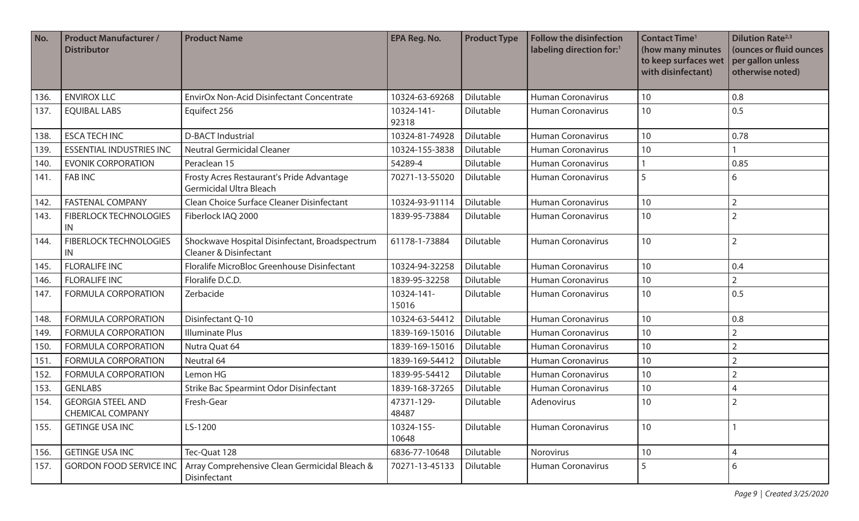| No.  | <b>Product Manufacturer /</b><br><b>Distributor</b> | <b>Product Name</b>                                                                 | <b>EPA Reg. No.</b> | <b>Product Type</b> | <b>Follow the disinfection</b><br>labeling direction for:1 | <b>Contact Time<sup>1</sup></b><br>(how many minutes<br>to keep surfaces wet<br>with disinfectant) | <b>Dilution Rate</b> <sup>2,3</sup><br>(ounces or fluid ounces<br>per gallon unless<br>otherwise noted) |
|------|-----------------------------------------------------|-------------------------------------------------------------------------------------|---------------------|---------------------|------------------------------------------------------------|----------------------------------------------------------------------------------------------------|---------------------------------------------------------------------------------------------------------|
| 136. | <b>ENVIROX LLC</b>                                  | <b>EnvirOx Non-Acid Disinfectant Concentrate</b>                                    | 10324-63-69268      | Dilutable           | <b>Human Coronavirus</b>                                   | 10                                                                                                 | 0.8                                                                                                     |
| 137. | <b>EQUIBAL LABS</b>                                 | Equifect 256                                                                        | 10324-141-<br>92318 | Dilutable           | <b>Human Coronavirus</b>                                   | 10                                                                                                 | 0.5                                                                                                     |
| 138. | <b>ESCA TECH INC</b>                                | <b>D-BACT Industrial</b>                                                            | 10324-81-74928      | Dilutable           | <b>Human Coronavirus</b>                                   | 10                                                                                                 | 0.78                                                                                                    |
| 139. | <b>ESSENTIAL INDUSTRIES INC</b>                     | <b>Neutral Germicidal Cleaner</b>                                                   | 10324-155-3838      | Dilutable           | <b>Human Coronavirus</b>                                   | 10                                                                                                 |                                                                                                         |
| 140. | <b>EVONIK CORPORATION</b>                           | Peraclean 15                                                                        | 54289-4             | Dilutable           | <b>Human Coronavirus</b>                                   |                                                                                                    | 0.85                                                                                                    |
| 141. | <b>FAB INC</b>                                      | Frosty Acres Restaurant's Pride Advantage<br><b>Germicidal Ultra Bleach</b>         | 70271-13-55020      | Dilutable           | <b>Human Coronavirus</b>                                   | 5                                                                                                  | 6                                                                                                       |
| 142. | <b>FASTENAL COMPANY</b>                             | Clean Choice Surface Cleaner Disinfectant                                           | 10324-93-91114      | Dilutable           | <b>Human Coronavirus</b>                                   | 10                                                                                                 | $\overline{2}$                                                                                          |
| 143. | <b>FIBERLOCK TECHNOLOGIES</b><br>IN                 | Fiberlock IAQ 2000                                                                  | 1839-95-73884       | Dilutable           | <b>Human Coronavirus</b>                                   | 10                                                                                                 | $\overline{2}$                                                                                          |
| 144. | <b>FIBERLOCK TECHNOLOGIES</b><br>IN                 | Shockwave Hospital Disinfectant, Broadspectrum<br><b>Cleaner &amp; Disinfectant</b> | 61178-1-73884       | Dilutable           | <b>Human Coronavirus</b>                                   | 10                                                                                                 | $\overline{2}$                                                                                          |
| 145. | <b>FLORALIFE INC</b>                                | Floralife MicroBloc Greenhouse Disinfectant                                         | 10324-94-32258      | Dilutable           | <b>Human Coronavirus</b>                                   | 10                                                                                                 | 0.4                                                                                                     |
| 146. | <b>FLORALIFE INC</b>                                | Floralife D.C.D.                                                                    | 1839-95-32258       | Dilutable           | <b>Human Coronavirus</b>                                   | 10                                                                                                 | $\overline{2}$                                                                                          |
| 147. | <b>FORMULA CORPORATION</b>                          | Zerbacide                                                                           | 10324-141-<br>15016 | Dilutable           | <b>Human Coronavirus</b>                                   | 10                                                                                                 | 0.5                                                                                                     |
| 148. | <b>FORMULA CORPORATION</b>                          | Disinfectant Q-10                                                                   | 10324-63-54412      | Dilutable           | <b>Human Coronavirus</b>                                   | 10                                                                                                 | 0.8                                                                                                     |
| 149. | <b>FORMULA CORPORATION</b>                          | <b>Illuminate Plus</b>                                                              | 1839-169-15016      | Dilutable           | <b>Human Coronavirus</b>                                   | 10 <sup>1</sup>                                                                                    | $\overline{2}$                                                                                          |
| 150. | <b>FORMULA CORPORATION</b>                          | Nutra Quat 64                                                                       | 1839-169-15016      | Dilutable           | <b>Human Coronavirus</b>                                   | 10                                                                                                 | $\overline{2}$                                                                                          |
| 151  | <b>FORMULA CORPORATION</b>                          | Neutral 64                                                                          | 1839-169-54412      | Dilutable           | <b>Human Coronavirus</b>                                   | 10                                                                                                 | $\overline{2}$                                                                                          |
| 152. | <b>FORMULA CORPORATION</b>                          | Lemon HG                                                                            | 1839-95-54412       | Dilutable           | <b>Human Coronavirus</b>                                   | 10                                                                                                 | $\overline{2}$                                                                                          |
| 153. | <b>GENLABS</b>                                      | Strike Bac Spearmint Odor Disinfectant                                              | 1839-168-37265      | Dilutable           | <b>Human Coronavirus</b>                                   | 10                                                                                                 | 4                                                                                                       |
| 154. | <b>GEORGIA STEEL AND</b><br><b>CHEMICAL COMPANY</b> | Fresh-Gear                                                                          | 47371-129-<br>48487 | Dilutable           | Adenovirus                                                 | 10                                                                                                 | $\overline{2}$                                                                                          |
| 155. | <b>GETINGE USA INC</b>                              | LS-1200                                                                             | 10324-155-<br>10648 | Dilutable           | <b>Human Coronavirus</b>                                   | 10                                                                                                 |                                                                                                         |
| 156. | <b>GETINGE USA INC</b>                              | Tec-Quat 128                                                                        | 6836-77-10648       | Dilutable           | Norovirus                                                  | 10                                                                                                 | 4                                                                                                       |
| 157. | <b>GORDON FOOD SERVICE INC</b>                      | Array Comprehensive Clean Germicidal Bleach &<br>Disinfectant                       | 70271-13-45133      | Dilutable           | Human Coronavirus                                          | 5                                                                                                  | 6                                                                                                       |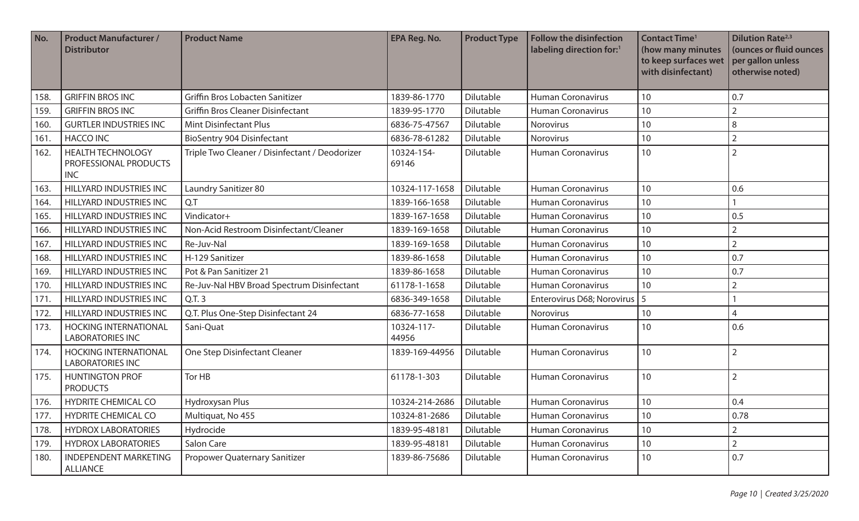| No.  | <b>Product Manufacturer /</b><br><b>Distributor</b>             | <b>Product Name</b>                            | <b>EPA Reg. No.</b> | <b>Product Type</b> | <b>Follow the disinfection</b><br>labeling direction for: <sup>1</sup> | <b>Contact Time<sup>1</sup></b><br>(how many minutes<br>to keep surfaces wet<br>with disinfectant) | <b>Dilution Rate</b> <sup>2,3</sup><br>(ounces or fluid ounces<br>per gallon unless<br>otherwise noted) |
|------|-----------------------------------------------------------------|------------------------------------------------|---------------------|---------------------|------------------------------------------------------------------------|----------------------------------------------------------------------------------------------------|---------------------------------------------------------------------------------------------------------|
| 158. | <b>GRIFFIN BROS INC</b>                                         | Griffin Bros Lobacten Sanitizer                | 1839-86-1770        | <b>Dilutable</b>    | <b>Human Coronavirus</b>                                               | 10                                                                                                 | 0.7                                                                                                     |
| 159. | <b>GRIFFIN BROS INC</b>                                         | <b>Griffin Bros Cleaner Disinfectant</b>       | 1839-95-1770        | Dilutable           | <b>Human Coronavirus</b>                                               | 10                                                                                                 | $\overline{2}$                                                                                          |
| 160. | <b>GURTLER INDUSTRIES INC</b>                                   | <b>Mint Disinfectant Plus</b>                  | 6836-75-47567       | Dilutable           | Norovirus                                                              | 10                                                                                                 | 8                                                                                                       |
| 161. | <b>HACCO INC</b>                                                | <b>BioSentry 904 Disinfectant</b>              | 6836-78-61282       | Dilutable           | Norovirus                                                              | 10                                                                                                 | $\overline{2}$                                                                                          |
| 162. | <b>HEALTH TECHNOLOGY</b><br>PROFESSIONAL PRODUCTS<br><b>INC</b> | Triple Two Cleaner / Disinfectant / Deodorizer | 10324-154-<br>69146 | Dilutable           | <b>Human Coronavirus</b>                                               | 10                                                                                                 | $\overline{2}$                                                                                          |
| 163. | HILLYARD INDUSTRIES INC                                         | Laundry Sanitizer 80                           | 10324-117-1658      | Dilutable           | <b>Human Coronavirus</b>                                               | 10                                                                                                 | 0.6                                                                                                     |
| 164. | HILLYARD INDUSTRIES INC                                         | Q.T                                            | 1839-166-1658       | Dilutable           | <b>Human Coronavirus</b>                                               | 10                                                                                                 |                                                                                                         |
| 165. | <b>HILLYARD INDUSTRIES INC</b>                                  | Vindicator+                                    | 1839-167-1658       | Dilutable           | <b>Human Coronavirus</b>                                               | 10                                                                                                 | 0.5                                                                                                     |
| 166. | <b>HILLYARD INDUSTRIES INC</b>                                  | Non-Acid Restroom Disinfectant/Cleaner         | 1839-169-1658       | Dilutable           | <b>Human Coronavirus</b>                                               | 10                                                                                                 | $\overline{2}$                                                                                          |
| 167. | <b>HILLYARD INDUSTRIES INC</b>                                  | Re-Juv-Nal                                     | 1839-169-1658       | Dilutable           | <b>Human Coronavirus</b>                                               | 10                                                                                                 | $\overline{2}$                                                                                          |
| 168. | HILLYARD INDUSTRIES INC                                         | H-129 Sanitizer                                | 1839-86-1658        | Dilutable           | <b>Human Coronavirus</b>                                               | 10                                                                                                 | 0.7                                                                                                     |
| 169  | HILLYARD INDUSTRIES INC                                         | Pot & Pan Sanitizer 21                         | 1839-86-1658        | Dilutable           | <b>Human Coronavirus</b>                                               | 10                                                                                                 | 0.7                                                                                                     |
| 170. | <b>HILLYARD INDUSTRIES INC</b>                                  | Re-Juv-Nal HBV Broad Spectrum Disinfectant     | 61178-1-1658        | Dilutable           | <b>Human Coronavirus</b>                                               | 10                                                                                                 | $\overline{2}$                                                                                          |
| 171. | HILLYARD INDUSTRIES INC                                         | Q.T.3                                          | 6836-349-1658       | Dilutable           | Enterovirus D68; Norovirus   5                                         |                                                                                                    |                                                                                                         |
| 172. | HILLYARD INDUSTRIES INC                                         | Q.T. Plus One-Step Disinfectant 24             | 6836-77-1658        | Dilutable           | Norovirus                                                              | 10                                                                                                 | $\overline{4}$                                                                                          |
| 173. | <b>HOCKING INTERNATIONAL</b><br><b>LABORATORIES INC</b>         | Sani-Quat                                      | 10324-117-<br>44956 | Dilutable           | <b>Human Coronavirus</b>                                               | 10                                                                                                 | 0.6                                                                                                     |
| 174. | <b>HOCKING INTERNATIONAL</b><br><b>LABORATORIES INC</b>         | One Step Disinfectant Cleaner                  | 1839-169-44956      | Dilutable           | <b>Human Coronavirus</b>                                               | 10                                                                                                 | $\overline{2}$                                                                                          |
| 175. | <b>HUNTINGTON PROF</b><br><b>PRODUCTS</b>                       | Tor HB                                         | 61178-1-303         | Dilutable           | <b>Human Coronavirus</b>                                               | 10                                                                                                 | $\overline{2}$                                                                                          |
| 176. | <b>HYDRITE CHEMICAL CO</b>                                      | Hydroxysan Plus                                | 10324-214-2686      | Dilutable           | <b>Human Coronavirus</b>                                               | 10                                                                                                 | 0.4                                                                                                     |
| 177. | HYDRITE CHEMICAL CO                                             | Multiquat, No 455                              | 10324-81-2686       | Dilutable           | <b>Human Coronavirus</b>                                               | 10                                                                                                 | 0.78                                                                                                    |
| 178. | <b>HYDROX LABORATORIES</b>                                      | Hydrocide                                      | 1839-95-48181       | Dilutable           | <b>Human Coronavirus</b>                                               | 10                                                                                                 | $\overline{2}$                                                                                          |
| 179. | <b>HYDROX LABORATORIES</b>                                      | Salon Care                                     | 1839-95-48181       | Dilutable           | Human Coronavirus                                                      | 10                                                                                                 | $\overline{2}$                                                                                          |
| 180. | <b>INDEPENDENT MARKETING</b><br><b>ALLIANCE</b>                 | Propower Quaternary Sanitizer                  | 1839-86-75686       | Dilutable           | Human Coronavirus                                                      | 10                                                                                                 | 0.7                                                                                                     |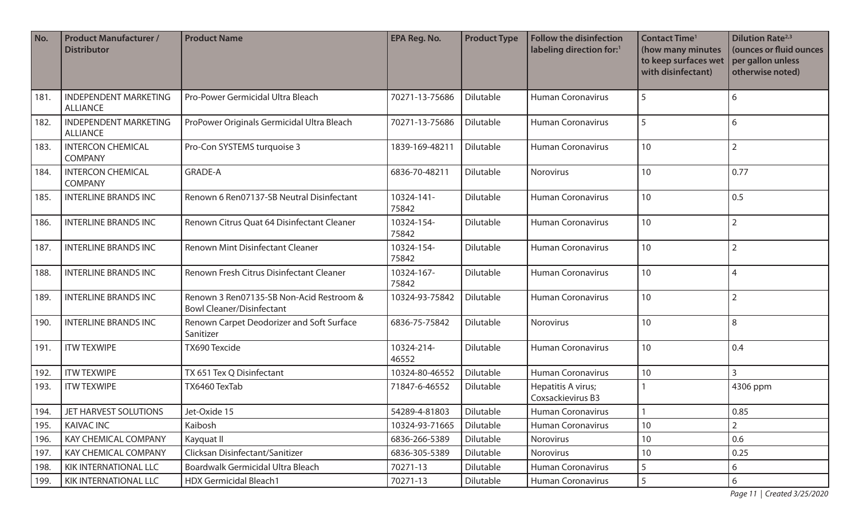| No.  | <b>Product Manufacturer /</b><br><b>Distributor</b> | <b>Product Name</b>                                                          | <b>EPA Reg. No.</b> | <b>Product Type</b> | <b>Follow the disinfection</b><br>labeling direction for: <sup>1</sup> | <b>Contact Time<sup>1</sup></b><br>(how many minutes<br>to keep surfaces wet<br>with disinfectant) | <b>Dilution Rate</b> <sup>2,3</sup><br>(ounces or fluid ounces<br>per gallon unless<br>otherwise noted) |
|------|-----------------------------------------------------|------------------------------------------------------------------------------|---------------------|---------------------|------------------------------------------------------------------------|----------------------------------------------------------------------------------------------------|---------------------------------------------------------------------------------------------------------|
| 181. | <b>INDEPENDENT MARKETING</b><br><b>ALLIANCE</b>     | Pro-Power Germicidal Ultra Bleach                                            | 70271-13-75686      | Dilutable           | <b>Human Coronavirus</b>                                               | 5                                                                                                  | 6                                                                                                       |
| 182. | <b>INDEPENDENT MARKETING</b><br><b>ALLIANCE</b>     | ProPower Originals Germicidal Ultra Bleach                                   | 70271-13-75686      | Dilutable           | <b>Human Coronavirus</b>                                               | 5                                                                                                  | 6                                                                                                       |
| 183. | <b>INTERCON CHEMICAL</b><br><b>COMPANY</b>          | Pro-Con SYSTEMS turquoise 3                                                  | 1839-169-48211      | Dilutable           | <b>Human Coronavirus</b>                                               | 10                                                                                                 | $\overline{2}$                                                                                          |
| 184. | <b>INTERCON CHEMICAL</b><br><b>COMPANY</b>          | <b>GRADE-A</b>                                                               | 6836-70-48211       | Dilutable           | Norovirus                                                              | 10                                                                                                 | 0.77                                                                                                    |
| 185. | <b>INTERLINE BRANDS INC</b>                         | Renown 6 Ren07137-SB Neutral Disinfectant                                    | 10324-141-<br>75842 | Dilutable           | <b>Human Coronavirus</b>                                               | 10                                                                                                 | 0.5                                                                                                     |
| 186. | <b>INTERLINE BRANDS INC</b>                         | Renown Citrus Quat 64 Disinfectant Cleaner                                   | 10324-154-<br>75842 | Dilutable           | <b>Human Coronavirus</b>                                               | 10                                                                                                 | $\overline{2}$                                                                                          |
| 187. | <b>INTERLINE BRANDS INC</b>                         | <b>Renown Mint Disinfectant Cleaner</b>                                      | 10324-154-<br>75842 | Dilutable           | <b>Human Coronavirus</b>                                               | 10                                                                                                 | $\overline{2}$                                                                                          |
| 188. | <b>INTERLINE BRANDS INC</b>                         | Renown Fresh Citrus Disinfectant Cleaner                                     | 10324-167-<br>75842 | Dilutable           | <b>Human Coronavirus</b>                                               | 10                                                                                                 | 4                                                                                                       |
| 189. | <b>INTERLINE BRANDS INC</b>                         | Renown 3 Ren07135-SB Non-Acid Restroom &<br><b>Bowl Cleaner/Disinfectant</b> | 10324-93-75842      | Dilutable           | <b>Human Coronavirus</b>                                               | 10                                                                                                 | $\overline{2}$                                                                                          |
| 190. | <b>INTERLINE BRANDS INC</b>                         | Renown Carpet Deodorizer and Soft Surface<br>Sanitizer                       | 6836-75-75842       | Dilutable           | Norovirus                                                              | 10                                                                                                 | 8                                                                                                       |
| 191. | <b>ITW TEXWIPE</b>                                  | TX690 Texcide                                                                | 10324-214-<br>46552 | Dilutable           | <b>Human Coronavirus</b>                                               | 10                                                                                                 | 0.4                                                                                                     |
| 192. | <b>ITW TEXWIPE</b>                                  | TX 651 Tex Q Disinfectant                                                    | 10324-80-46552      | Dilutable           | <b>Human Coronavirus</b>                                               | 10                                                                                                 | $\overline{3}$                                                                                          |
| 193. | <b>ITW TEXWIPE</b>                                  | TX6460 TexTab                                                                | 71847-6-46552       | Dilutable           | Hepatitis A virus;<br>Coxsackievirus B3                                |                                                                                                    | 4306 ppm                                                                                                |
| 194. | JET HARVEST SOLUTIONS                               | Jet-Oxide 15                                                                 | 54289-4-81803       | Dilutable           | Human Coronavirus                                                      | $\mathbf{1}$                                                                                       | 0.85                                                                                                    |
| 195. | <b>KAIVAC INC</b>                                   | Kaibosh                                                                      | 10324-93-71665      | Dilutable           | Human Coronavirus                                                      | 10 <sup>°</sup>                                                                                    | $\overline{2}$                                                                                          |
| 196. | <b>KAY CHEMICAL COMPANY</b>                         | Kayquat II                                                                   | 6836-266-5389       | Dilutable           | Norovirus                                                              | 10                                                                                                 | 0.6                                                                                                     |
| 197. | <b>KAY CHEMICAL COMPANY</b>                         | Clicksan Disinfectant/Sanitizer                                              | 6836-305-5389       | Dilutable           | Norovirus                                                              | 10                                                                                                 | 0.25                                                                                                    |
| 198. | KIK INTERNATIONAL LLC                               | Boardwalk Germicidal Ultra Bleach                                            | 70271-13            | Dilutable           | <b>Human Coronavirus</b>                                               | 5                                                                                                  | 6                                                                                                       |
| 199. | KIK INTERNATIONAL LLC                               | HDX Germicidal Bleach1                                                       | 70271-13            | Dilutable           | Human Coronavirus                                                      | 5                                                                                                  | 6                                                                                                       |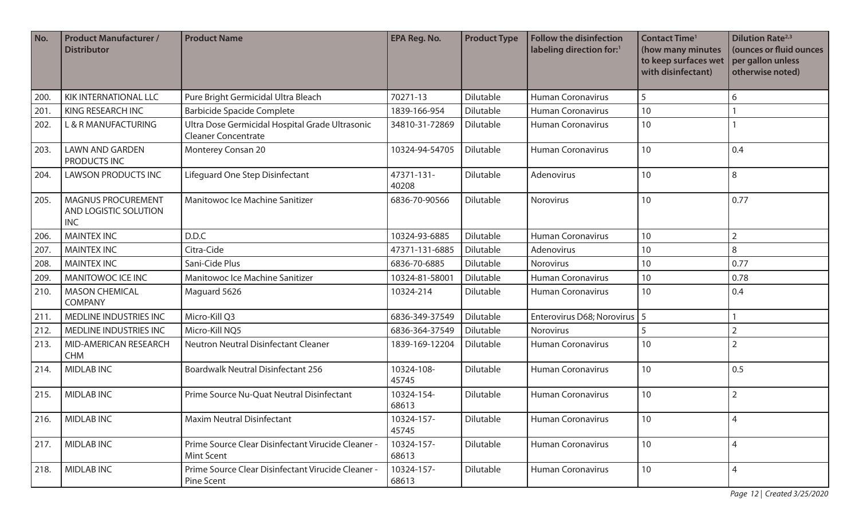| No.  | <b>Product Manufacturer /</b><br><b>Distributor</b>              | <b>Product Name</b>                                                           | <b>EPA Reg. No.</b> | <b>Product Type</b> | <b>Follow the disinfection</b><br>labeling direction for: <sup>1</sup> | <b>Contact Time<sup>1</sup></b><br>(how many minutes<br>to keep surfaces wet<br>with disinfectant) | <b>Dilution Rate</b> <sup>2,3</sup><br>(ounces or fluid ounces<br>per gallon unless<br>otherwise noted) |
|------|------------------------------------------------------------------|-------------------------------------------------------------------------------|---------------------|---------------------|------------------------------------------------------------------------|----------------------------------------------------------------------------------------------------|---------------------------------------------------------------------------------------------------------|
| 200  | <b>KIK INTERNATIONAL LLC</b>                                     | Pure Bright Germicidal Ultra Bleach                                           | 70271-13            | Dilutable           | <b>Human Coronavirus</b>                                               | 5                                                                                                  | 6                                                                                                       |
| 201. | KING RESEARCH INC                                                | <b>Barbicide Spacide Complete</b>                                             | 1839-166-954        | Dilutable           | <b>Human Coronavirus</b>                                               | 10                                                                                                 |                                                                                                         |
| 202. | L & R MANUFACTURING                                              | Ultra Dose Germicidal Hospital Grade Ultrasonic<br><b>Cleaner Concentrate</b> | 34810-31-72869      | Dilutable           | <b>Human Coronavirus</b>                                               | 10                                                                                                 |                                                                                                         |
| 203. | <b>LAWN AND GARDEN</b><br>PRODUCTS INC                           | Monterey Consan 20                                                            | 10324-94-54705      | Dilutable           | <b>Human Coronavirus</b>                                               | 10                                                                                                 | 0.4                                                                                                     |
| 204. | <b>LAWSON PRODUCTS INC</b>                                       | Lifeguard One Step Disinfectant                                               | 47371-131-<br>40208 | <b>Dilutable</b>    | Adenovirus                                                             | 10                                                                                                 | 8                                                                                                       |
| 205. | <b>MAGNUS PROCUREMENT</b><br>AND LOGISTIC SOLUTION<br><b>INC</b> | Manitowoc Ice Machine Sanitizer                                               | 6836-70-90566       | Dilutable           | Norovirus                                                              | 10                                                                                                 | 0.77                                                                                                    |
| 206. | <b>MAINTEX INC</b>                                               | D.D.C                                                                         | 10324-93-6885       | <b>Dilutable</b>    | <b>Human Coronavirus</b>                                               | 10                                                                                                 | $\overline{2}$                                                                                          |
| 207. | <b>MAINTEX INC</b>                                               | Citra-Cide                                                                    | 47371-131-6885      | Dilutable           | Adenovirus                                                             | 10                                                                                                 | 8                                                                                                       |
| 208. | <b>MAINTEX INC</b>                                               | Sani-Cide Plus                                                                | 6836-70-6885        | Dilutable           | Norovirus                                                              | 10                                                                                                 | 0.77                                                                                                    |
| 209. | <b>MANITOWOC ICE INC</b>                                         | Manitowoc Ice Machine Sanitizer                                               | 10324-81-58001      | Dilutable           | <b>Human Coronavirus</b>                                               | 10                                                                                                 | 0.78                                                                                                    |
| 210. | <b>MASON CHEMICAL</b><br><b>COMPANY</b>                          | Maguard 5626                                                                  | 10324-214           | Dilutable           | <b>Human Coronavirus</b>                                               | 10                                                                                                 | 0.4                                                                                                     |
| 211. | MEDLINE INDUSTRIES INC                                           | Micro-Kill Q3                                                                 | 6836-349-37549      | Dilutable           | Enterovirus D68; Norovirus   5                                         |                                                                                                    |                                                                                                         |
| 212. | MEDLINE INDUSTRIES INC                                           | Micro-Kill NQ5                                                                | 6836-364-37549      | Dilutable           | Norovirus                                                              | 5                                                                                                  | $\overline{2}$                                                                                          |
| 213. | MID-AMERICAN RESEARCH<br><b>CHM</b>                              | Neutron Neutral Disinfectant Cleaner                                          | 1839-169-12204      | Dilutable           | <b>Human Coronavirus</b>                                               | 10                                                                                                 | $\overline{2}$                                                                                          |
| 214. | <b>MIDLAB INC</b>                                                | <b>Boardwalk Neutral Disinfectant 256</b>                                     | 10324-108-<br>45745 | Dilutable           | <b>Human Coronavirus</b>                                               | 10                                                                                                 | 0.5                                                                                                     |
| 215. | <b>MIDLAB INC</b>                                                | Prime Source Nu-Quat Neutral Disinfectant                                     | 10324-154-<br>68613 | Dilutable           | <b>Human Coronavirus</b>                                               | 10                                                                                                 | $\overline{2}$                                                                                          |
| 216. | <b>MIDLAB INC</b>                                                | <b>Maxim Neutral Disinfectant</b>                                             | 10324-157-<br>45745 | Dilutable           | <b>Human Coronavirus</b>                                               | 10                                                                                                 | 4                                                                                                       |
| 217. | <b>MIDLAB INC</b>                                                | Prime Source Clear Disinfectant Virucide Cleaner -<br><b>Mint Scent</b>       | 10324-157-<br>68613 | Dilutable           | <b>Human Coronavirus</b>                                               | 10                                                                                                 | $\overline{4}$                                                                                          |
| 218. | <b>MIDLAB INC</b>                                                | Prime Source Clear Disinfectant Virucide Cleaner -<br>Pine Scent              | 10324-157-<br>68613 | Dilutable           | <b>Human Coronavirus</b>                                               | 10                                                                                                 | $\overline{4}$                                                                                          |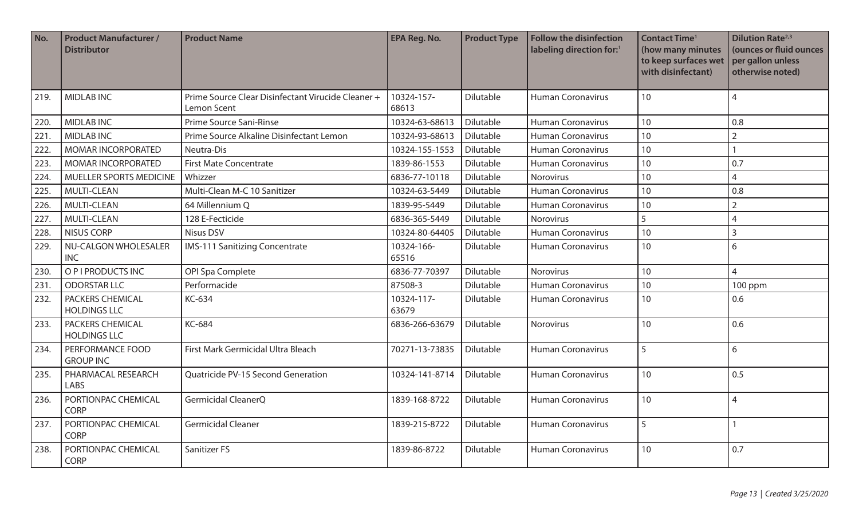| No.  | <b>Product Manufacturer /</b><br><b>Distributor</b> | <b>Product Name</b>                                               | EPA Reg. No.        | <b>Product Type</b> | <b>Follow the disinfection</b><br>labeling direction for: <sup>1</sup> | <b>Contact Time<sup>1</sup></b><br>(how many minutes<br>to keep surfaces wet<br>with disinfectant) | <b>Dilution Rate</b> <sup>2,3</sup><br>(ounces or fluid ounces<br>per gallon unless<br>otherwise noted) |
|------|-----------------------------------------------------|-------------------------------------------------------------------|---------------------|---------------------|------------------------------------------------------------------------|----------------------------------------------------------------------------------------------------|---------------------------------------------------------------------------------------------------------|
| 219. | <b>MIDLAB INC</b>                                   | Prime Source Clear Disinfectant Virucide Cleaner +<br>Lemon Scent | 10324-157-<br>68613 | Dilutable           | Human Coronavirus                                                      | 10                                                                                                 | $\overline{4}$                                                                                          |
| 220. | <b>MIDLAB INC</b>                                   | Prime Source Sani-Rinse                                           | 10324-63-68613      | Dilutable           | <b>Human Coronavirus</b>                                               | 10                                                                                                 | 0.8                                                                                                     |
| 221. | <b>MIDLAB INC</b>                                   | Prime Source Alkaline Disinfectant Lemon                          | 10324-93-68613      | Dilutable           | <b>Human Coronavirus</b>                                               | 10                                                                                                 | $\overline{2}$                                                                                          |
| 222. | MOMAR INCORPORATED                                  | Neutra-Dis                                                        | 10324-155-1553      | Dilutable           | <b>Human Coronavirus</b>                                               | 10                                                                                                 |                                                                                                         |
| 223. | <b>MOMAR INCORPORATED</b>                           | <b>First Mate Concentrate</b>                                     | 1839-86-1553        | Dilutable           | <b>Human Coronavirus</b>                                               | 10                                                                                                 | 0.7                                                                                                     |
| 224. | MUELLER SPORTS MEDICINE                             | Whizzer                                                           | 6836-77-10118       | Dilutable           | Norovirus                                                              | 10                                                                                                 | $\overline{4}$                                                                                          |
| 225. | <b>MULTI-CLEAN</b>                                  | Multi-Clean M-C 10 Sanitizer                                      | 10324-63-5449       | Dilutable           | <b>Human Coronavirus</b>                                               | 10                                                                                                 | 0.8                                                                                                     |
| 226. | <b>MULTI-CLEAN</b>                                  | 64 Millennium Q                                                   | 1839-95-5449        | Dilutable           | <b>Human Coronavirus</b>                                               | 10                                                                                                 | $\overline{2}$                                                                                          |
| 227. | <b>MULTI-CLEAN</b>                                  | 128 E-Fecticide                                                   | 6836-365-5449       | Dilutable           | Norovirus                                                              | 5                                                                                                  | $\overline{4}$                                                                                          |
| 228. | <b>NISUS CORP</b>                                   | <b>Nisus DSV</b>                                                  | 10324-80-64405      | Dilutable           | <b>Human Coronavirus</b>                                               | 10                                                                                                 | $\overline{3}$                                                                                          |
| 229. | <b>NU-CALGON WHOLESALER</b><br><b>INC</b>           | <b>IMS-111 Sanitizing Concentrate</b>                             | 10324-166-<br>65516 | Dilutable           | <b>Human Coronavirus</b>                                               | 10                                                                                                 | 6                                                                                                       |
| 230. | O P I PRODUCTS INC                                  | OPI Spa Complete                                                  | 6836-77-70397       | Dilutable           | Norovirus                                                              | 10                                                                                                 | $\overline{4}$                                                                                          |
| 231. | <b>ODORSTAR LLC</b>                                 | Performacide                                                      | 87508-3             | Dilutable           | <b>Human Coronavirus</b>                                               | 10                                                                                                 | 100 ppm                                                                                                 |
| 232. | PACKERS CHEMICAL<br><b>HOLDINGS LLC</b>             | KC-634                                                            | 10324-117-<br>63679 | Dilutable           | <b>Human Coronavirus</b>                                               | 10                                                                                                 | 0.6                                                                                                     |
| 233. | <b>PACKERS CHEMICAL</b><br><b>HOLDINGS LLC</b>      | KC-684                                                            | 6836-266-63679      | Dilutable           | Norovirus                                                              | 10                                                                                                 | 0.6                                                                                                     |
| 234. | PERFORMANCE FOOD<br><b>GROUP INC</b>                | First Mark Germicidal Ultra Bleach                                | 70271-13-73835      | Dilutable           | <b>Human Coronavirus</b>                                               | 5                                                                                                  | 6                                                                                                       |
| 235. | PHARMACAL RESEARCH<br><b>LABS</b>                   | Quatricide PV-15 Second Generation                                | 10324-141-8714      | Dilutable           | <b>Human Coronavirus</b>                                               | 10                                                                                                 | 0.5                                                                                                     |
| 236. | PORTIONPAC CHEMICAL<br><b>CORP</b>                  | Germicidal CleanerQ                                               | 1839-168-8722       | Dilutable           | Human Coronavirus                                                      | 10                                                                                                 | 4                                                                                                       |
| 237. | PORTIONPAC CHEMICAL<br><b>CORP</b>                  | <b>Germicidal Cleaner</b>                                         | 1839-215-8722       | Dilutable           | <b>Human Coronavirus</b>                                               | 5                                                                                                  |                                                                                                         |
| 238. | PORTIONPAC CHEMICAL<br>CORP                         | Sanitizer FS                                                      | 1839-86-8722        | Dilutable           | <b>Human Coronavirus</b>                                               | 10                                                                                                 | 0.7                                                                                                     |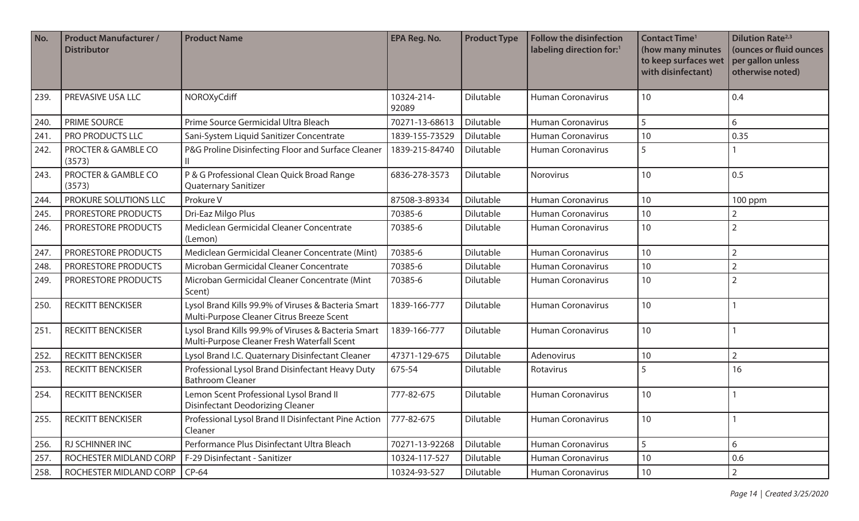| No.  | <b>Product Manufacturer /</b><br><b>Distributor</b> | <b>Product Name</b>                                                                                | <b>EPA Reg. No.</b> | <b>Product Type</b> | <b>Follow the disinfection</b><br>labeling direction for:1 | <b>Contact Time<sup>1</sup></b><br>(how many minutes<br>to keep surfaces wet<br>with disinfectant) | <b>Dilution Rate</b> <sup>2,3</sup><br>(ounces or fluid ounces<br>per gallon unless<br>otherwise noted) |
|------|-----------------------------------------------------|----------------------------------------------------------------------------------------------------|---------------------|---------------------|------------------------------------------------------------|----------------------------------------------------------------------------------------------------|---------------------------------------------------------------------------------------------------------|
| 239. | PREVASIVE USA LLC                                   | NOROXyCdiff                                                                                        | 10324-214-<br>92089 | Dilutable           | <b>Human Coronavirus</b>                                   | 10                                                                                                 | 0.4                                                                                                     |
| 240. | PRIME SOURCE                                        | Prime Source Germicidal Ultra Bleach                                                               | 70271-13-68613      | Dilutable           | <b>Human Coronavirus</b>                                   | $5\overline{)}$                                                                                    | 6                                                                                                       |
| 241. | PRO PRODUCTS LLC                                    | Sani-System Liquid Sanitizer Concentrate                                                           | 1839-155-73529      | Dilutable           | <b>Human Coronavirus</b>                                   | 10                                                                                                 | 0.35                                                                                                    |
| 242. | PROCTER & GAMBLE CO<br>(3573)                       | P&G Proline Disinfecting Floor and Surface Cleaner                                                 | 1839-215-84740      | Dilutable           | <b>Human Coronavirus</b>                                   | 5                                                                                                  |                                                                                                         |
| 243. | PROCTER & GAMBLE CO<br>(3573)                       | P & G Professional Clean Quick Broad Range<br><b>Quaternary Sanitizer</b>                          | 6836-278-3573       | Dilutable           | Norovirus                                                  | 10                                                                                                 | 0.5                                                                                                     |
| 244. | PROKURE SOLUTIONS LLC                               | Prokure V                                                                                          | 87508-3-89334       | Dilutable           | <b>Human Coronavirus</b>                                   | 10                                                                                                 | 100 ppm                                                                                                 |
| 245. | PRORESTORE PRODUCTS                                 | Dri-Eaz Milgo Plus                                                                                 | 70385-6             | Dilutable           | <b>Human Coronavirus</b>                                   | 10                                                                                                 | $\overline{2}$                                                                                          |
| 246. | PRORESTORE PRODUCTS                                 | Mediclean Germicidal Cleaner Concentrate<br>(Lemon)                                                | 70385-6             | Dilutable           | <b>Human Coronavirus</b>                                   | 10                                                                                                 | $\overline{2}$                                                                                          |
| 247. | PRORESTORE PRODUCTS                                 | Mediclean Germicidal Cleaner Concentrate (Mint)                                                    | 70385-6             | Dilutable           | <b>Human Coronavirus</b>                                   | 10                                                                                                 | $\overline{2}$                                                                                          |
| 248. | PRORESTORE PRODUCTS                                 | Microban Germicidal Cleaner Concentrate                                                            | 70385-6             | Dilutable           | Human Coronavirus                                          | 10                                                                                                 | $\overline{2}$                                                                                          |
| 249. | PRORESTORE PRODUCTS                                 | Microban Germicidal Cleaner Concentrate (Mint<br>Scent)                                            | 70385-6             | Dilutable           | <b>Human Coronavirus</b>                                   | 10                                                                                                 | $\overline{2}$                                                                                          |
| 250. | <b>RECKITT BENCKISER</b>                            | Lysol Brand Kills 99.9% of Viruses & Bacteria Smart<br>Multi-Purpose Cleaner Citrus Breeze Scent   | 1839-166-777        | Dilutable           | <b>Human Coronavirus</b>                                   | 10                                                                                                 |                                                                                                         |
| 251. | <b>RECKITT BENCKISER</b>                            | Lysol Brand Kills 99.9% of Viruses & Bacteria Smart<br>Multi-Purpose Cleaner Fresh Waterfall Scent | 1839-166-777        | Dilutable           | <b>Human Coronavirus</b>                                   | 10                                                                                                 |                                                                                                         |
| 252. | <b>RECKITT BENCKISER</b>                            | Lysol Brand I.C. Quaternary Disinfectant Cleaner                                                   | 47371-129-675       | Dilutable           | Adenovirus                                                 | 10                                                                                                 | $\overline{2}$                                                                                          |
| 253. | <b>RECKITT BENCKISER</b>                            | Professional Lysol Brand Disinfectant Heavy Duty<br><b>Bathroom Cleaner</b>                        | 675-54              | Dilutable           | Rotavirus                                                  | 5                                                                                                  | 16                                                                                                      |
| 254. | <b>RECKITT BENCKISER</b>                            | Lemon Scent Professional Lysol Brand II<br><b>Disinfectant Deodorizing Cleaner</b>                 | 777-82-675          | Dilutable           | <b>Human Coronavirus</b>                                   | 10                                                                                                 |                                                                                                         |
| 255. | <b>RECKITT BENCKISER</b>                            | Professional Lysol Brand II Disinfectant Pine Action<br>Cleaner                                    | 777-82-675          | Dilutable           | <b>Human Coronavirus</b>                                   | 10                                                                                                 |                                                                                                         |
| 256. | <b>RJ SCHINNER INC</b>                              | Performance Plus Disinfectant Ultra Bleach                                                         | 70271-13-92268      | Dilutable           | <b>Human Coronavirus</b>                                   | 5                                                                                                  | 6                                                                                                       |
| 257. | ROCHESTER MIDLAND CORP                              | F-29 Disinfectant - Sanitizer                                                                      | 10324-117-527       | Dilutable           | Human Coronavirus                                          | 10                                                                                                 | 0.6                                                                                                     |
| 258. | <b>ROCHESTER MIDLAND CORP</b>                       | $CP-64$                                                                                            | 10324-93-527        | Dilutable           | <b>Human Coronavirus</b>                                   | 10                                                                                                 | $\overline{2}$                                                                                          |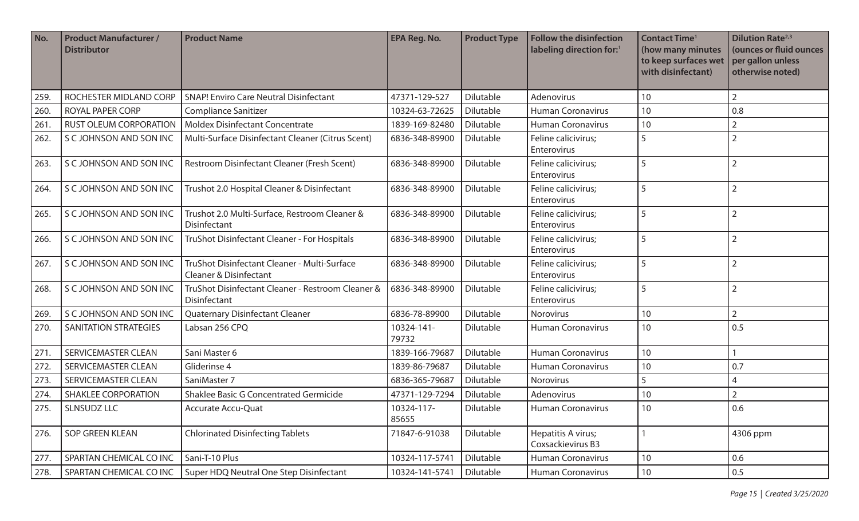| No.  | <b>Product Manufacturer /</b><br><b>Distributor</b> | <b>Product Name</b>                                                               | <b>EPA Reg. No.</b> | <b>Product Type</b> | <b>Follow the disinfection</b><br>labeling direction for:1 | <b>Contact Time<sup>1</sup></b><br>(how many minutes<br>to keep surfaces wet<br>with disinfectant) | <b>Dilution Rate</b> <sup>2,3</sup><br>(ounces or fluid ounces<br>per gallon unless<br>otherwise noted) |
|------|-----------------------------------------------------|-----------------------------------------------------------------------------------|---------------------|---------------------|------------------------------------------------------------|----------------------------------------------------------------------------------------------------|---------------------------------------------------------------------------------------------------------|
| 259  | ROCHESTER MIDLAND CORP                              | <b>SNAP! Enviro Care Neutral Disinfectant</b>                                     | 47371-129-527       | <b>Dilutable</b>    | Adenovirus                                                 | 10                                                                                                 | $\overline{2}$                                                                                          |
| 260. | ROYAL PAPER CORP                                    | <b>Compliance Sanitizer</b>                                                       | 10324-63-72625      | Dilutable           | Human Coronavirus                                          | 10                                                                                                 | 0.8                                                                                                     |
| 261. | RUST OLEUM CORPORATION                              | <b>Moldex Disinfectant Concentrate</b>                                            | 1839-169-82480      | Dilutable           | <b>Human Coronavirus</b>                                   | 10                                                                                                 | $\overline{2}$                                                                                          |
| 262. | S C JOHNSON AND SON INC                             | Multi-Surface Disinfectant Cleaner (Citrus Scent)                                 | 6836-348-89900      | Dilutable           | Feline calicivirus;<br>Enterovirus                         | 5                                                                                                  | $\overline{2}$                                                                                          |
| 263. | S C JOHNSON AND SON INC                             | Restroom Disinfectant Cleaner (Fresh Scent)                                       | 6836-348-89900      | Dilutable           | Feline calicivirus;<br>Enterovirus                         | 5                                                                                                  | $\overline{2}$                                                                                          |
| 264. | S C JOHNSON AND SON INC                             | Trushot 2.0 Hospital Cleaner & Disinfectant                                       | 6836-348-89900      | Dilutable           | Feline calicivirus;<br>Enterovirus                         | 5                                                                                                  | $\overline{2}$                                                                                          |
| 265. | S C JOHNSON AND SON INC                             | Trushot 2.0 Multi-Surface, Restroom Cleaner &<br>Disinfectant                     | 6836-348-89900      | Dilutable           | Feline calicivirus;<br>Enterovirus                         | 5                                                                                                  | $\overline{2}$                                                                                          |
| 266. | S C JOHNSON AND SON INC                             | TruShot Disinfectant Cleaner - For Hospitals                                      | 6836-348-89900      | Dilutable           | Feline calicivirus;<br>Enterovirus                         | 5                                                                                                  | $\overline{2}$                                                                                          |
| 267. | S C JOHNSON AND SON INC                             | TruShot Disinfectant Cleaner - Multi-Surface<br><b>Cleaner &amp; Disinfectant</b> | 6836-348-89900      | Dilutable           | Feline calicivirus;<br>Enterovirus                         | 5                                                                                                  | $\overline{2}$                                                                                          |
| 268. | S C JOHNSON AND SON INC                             | TruShot Disinfectant Cleaner - Restroom Cleaner &<br>Disinfectant                 | 6836-348-89900      | Dilutable           | Feline calicivirus;<br>Enterovirus                         | 5                                                                                                  | $\overline{2}$                                                                                          |
| 269. | S C JOHNSON AND SON INC                             | Quaternary Disinfectant Cleaner                                                   | 6836-78-89900       | Dilutable           | Norovirus                                                  | 10                                                                                                 | $\overline{2}$                                                                                          |
| 270. | <b>SANITATION STRATEGIES</b>                        | Labsan 256 CPQ                                                                    | 10324-141-<br>79732 | Dilutable           | <b>Human Coronavirus</b>                                   | 10                                                                                                 | 0.5                                                                                                     |
| 271  | <b>SERVICEMASTER CLEAN</b>                          | Sani Master 6                                                                     | 1839-166-79687      | Dilutable           | <b>Human Coronavirus</b>                                   | 10                                                                                                 |                                                                                                         |
| 272. | <b>SERVICEMASTER CLEAN</b>                          | Gliderinse 4                                                                      | 1839-86-79687       | Dilutable           | <b>Human Coronavirus</b>                                   | 10                                                                                                 | 0.7                                                                                                     |
| 273. | <b>SERVICEMASTER CLEAN</b>                          | SaniMaster 7                                                                      | 6836-365-79687      | Dilutable           | Norovirus                                                  | 5                                                                                                  | 4                                                                                                       |
| 274. | <b>SHAKLEE CORPORATION</b>                          | Shaklee Basic G Concentrated Germicide                                            | 47371-129-7294      | Dilutable           | Adenovirus                                                 | 10                                                                                                 | $\overline{2}$                                                                                          |
| 275. | <b>SLNSUDZ LLC</b>                                  | Accurate Accu-Quat                                                                | 10324-117-<br>85655 | Dilutable           | Human Coronavirus                                          | 10                                                                                                 | 0.6                                                                                                     |
| 276. | SOP GREEN KLEAN                                     | <b>Chlorinated Disinfecting Tablets</b>                                           | 71847-6-91038       | Dilutable           | Hepatitis A virus;<br>Coxsackievirus B3                    |                                                                                                    | 4306 ppm                                                                                                |
| 277. | SPARTAN CHEMICAL CO INC                             | Sani-T-10 Plus                                                                    | 10324-117-5741      | Dilutable           | <b>Human Coronavirus</b>                                   | 10                                                                                                 | 0.6                                                                                                     |
| 278. | SPARTAN CHEMICAL CO INC                             | Super HDQ Neutral One Step Disinfectant                                           | 10324-141-5741      | Dilutable           | <b>Human Coronavirus</b>                                   | $10\,$                                                                                             | 0.5                                                                                                     |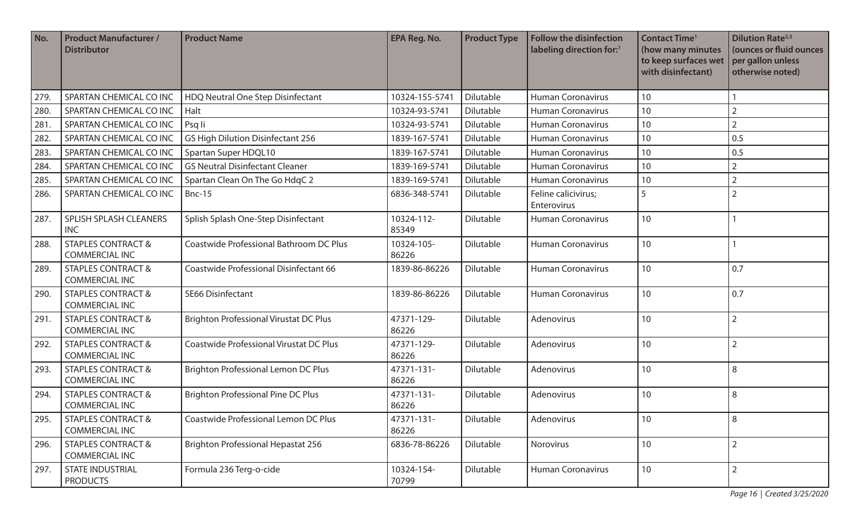| No.  | <b>Product Manufacturer /</b><br><b>Distributor</b>    | <b>Product Name</b>                            | <b>EPA Reg. No.</b> | <b>Product Type</b> | <b>Follow the disinfection</b><br>labeling direction for:1 | <b>Contact Time<sup>1</sup></b><br>(how many minutes<br>to keep surfaces wet<br>with disinfectant) | <b>Dilution Rate</b> <sup>2,3</sup><br>(ounces or fluid ounces<br>per gallon unless<br>otherwise noted) |
|------|--------------------------------------------------------|------------------------------------------------|---------------------|---------------------|------------------------------------------------------------|----------------------------------------------------------------------------------------------------|---------------------------------------------------------------------------------------------------------|
| 279. | SPARTAN CHEMICAL CO INC                                | HDQ Neutral One Step Disinfectant              | 10324-155-5741      | Dilutable           | <b>Human Coronavirus</b>                                   | 10                                                                                                 |                                                                                                         |
| 280. | SPARTAN CHEMICAL CO INC                                | Halt                                           | 10324-93-5741       | Dilutable           | <b>Human Coronavirus</b>                                   | 10                                                                                                 | $\overline{2}$                                                                                          |
| 281. | SPARTAN CHEMICAL CO INC                                | Psq li                                         | 10324-93-5741       | Dilutable           | <b>Human Coronavirus</b>                                   | 10                                                                                                 | $\overline{2}$                                                                                          |
| 282. | SPARTAN CHEMICAL CO INC                                | <b>GS High Dilution Disinfectant 256</b>       | 1839-167-5741       | Dilutable           | <b>Human Coronavirus</b>                                   | 10                                                                                                 | 0.5                                                                                                     |
| 283. | SPARTAN CHEMICAL CO INC                                | Spartan Super HDQL10                           | 1839-167-5741       | Dilutable           | <b>Human Coronavirus</b>                                   | 10                                                                                                 | 0.5                                                                                                     |
| 284. | SPARTAN CHEMICAL CO INC                                | <b>GS Neutral Disinfectant Cleaner</b>         | 1839-169-5741       | Dilutable           | <b>Human Coronavirus</b>                                   | 10                                                                                                 | $\overline{2}$                                                                                          |
| 285  | SPARTAN CHEMICAL CO INC                                | Spartan Clean On The Go HdqC 2                 | 1839-169-5741       | Dilutable           | Human Coronavirus                                          | 10                                                                                                 | $\overline{2}$                                                                                          |
| 286. | SPARTAN CHEMICAL CO INC                                | <b>Bnc-15</b>                                  | 6836-348-5741       | Dilutable           | Feline calicivirus;<br>Enterovirus                         | 5                                                                                                  | $\overline{2}$                                                                                          |
| 287. | SPLISH SPLASH CLEANERS<br><b>INC</b>                   | Splish Splash One-Step Disinfectant            | 10324-112-<br>85349 | Dilutable           | <b>Human Coronavirus</b>                                   | 10                                                                                                 |                                                                                                         |
| 288. | <b>STAPLES CONTRACT &amp;</b><br><b>COMMERCIAL INC</b> | Coastwide Professional Bathroom DC Plus        | 10324-105-<br>86226 | Dilutable           | <b>Human Coronavirus</b>                                   | 10                                                                                                 |                                                                                                         |
| 289. | <b>STAPLES CONTRACT &amp;</b><br><b>COMMERCIAL INC</b> | Coastwide Professional Disinfectant 66         | 1839-86-86226       | Dilutable           | <b>Human Coronavirus</b>                                   | 10                                                                                                 | 0.7                                                                                                     |
| 290. | <b>STAPLES CONTRACT &amp;</b><br><b>COMMERCIAL INC</b> | <b>SE66 Disinfectant</b>                       | 1839-86-86226       | Dilutable           | <b>Human Coronavirus</b>                                   | 10                                                                                                 | 0.7                                                                                                     |
| 291. | <b>STAPLES CONTRACT &amp;</b><br><b>COMMERCIAL INC</b> | <b>Brighton Professional Virustat DC Plus</b>  | 47371-129-<br>86226 | Dilutable           | Adenovirus                                                 | 10                                                                                                 | $\overline{2}$                                                                                          |
| 292. | <b>STAPLES CONTRACT &amp;</b><br><b>COMMERCIAL INC</b> | <b>Coastwide Professional Virustat DC Plus</b> | 47371-129-<br>86226 | Dilutable           | Adenovirus                                                 | 10                                                                                                 | $\overline{2}$                                                                                          |
| 293. | <b>STAPLES CONTRACT &amp;</b><br><b>COMMERCIAL INC</b> | <b>Brighton Professional Lemon DC Plus</b>     | 47371-131-<br>86226 | Dilutable           | Adenovirus                                                 | 10                                                                                                 | 8                                                                                                       |
| 294. | <b>STAPLES CONTRACT &amp;</b><br><b>COMMERCIAL INC</b> | <b>Brighton Professional Pine DC Plus</b>      | 47371-131-<br>86226 | Dilutable           | Adenovirus                                                 | 10                                                                                                 | 8                                                                                                       |
| 295. | <b>STAPLES CONTRACT &amp;</b><br><b>COMMERCIAL INC</b> | Coastwide Professional Lemon DC Plus           | 47371-131-<br>86226 | Dilutable           | Adenovirus                                                 | 10                                                                                                 | 8                                                                                                       |
| 296. | <b>STAPLES CONTRACT &amp;</b><br><b>COMMERCIAL INC</b> | <b>Brighton Professional Hepastat 256</b>      | 6836-78-86226       | Dilutable           | Norovirus                                                  | 10                                                                                                 | $\overline{2}$                                                                                          |
| 297. | <b>STATE INDUSTRIAL</b><br><b>PRODUCTS</b>             | Formula 236 Terg-o-cide                        | 10324-154-<br>70799 | Dilutable           | Human Coronavirus                                          | 10                                                                                                 | $\overline{2}$                                                                                          |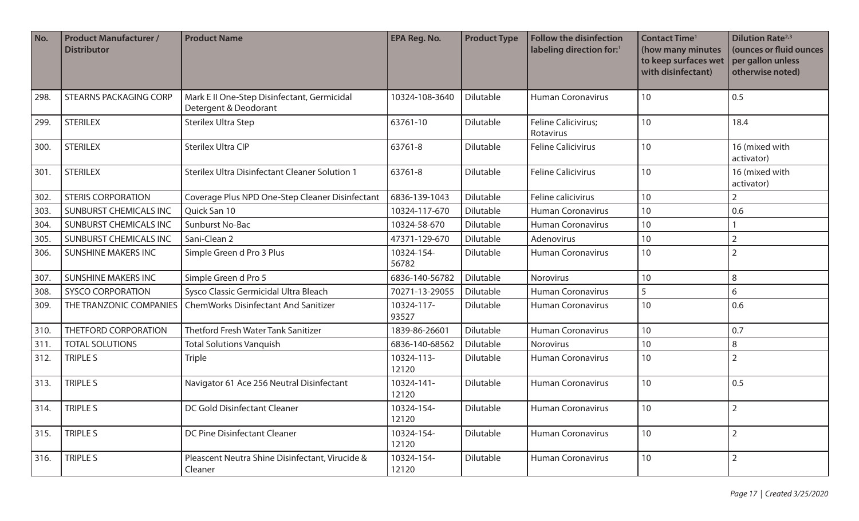| No.  | <b>Product Manufacturer /</b><br><b>Distributor</b> | <b>Product Name</b>                                                  | <b>EPA Reg. No.</b> | <b>Product Type</b> | <b>Follow the disinfection</b><br>labeling direction for:1 | <b>Contact Time<sup>1</sup></b><br>(how many minutes<br>to keep surfaces wet<br>with disinfectant) | <b>Dilution Rate</b> <sup>2,3</sup><br>(ounces or fluid ounces<br>per gallon unless<br>otherwise noted) |
|------|-----------------------------------------------------|----------------------------------------------------------------------|---------------------|---------------------|------------------------------------------------------------|----------------------------------------------------------------------------------------------------|---------------------------------------------------------------------------------------------------------|
| 298. | <b>STEARNS PACKAGING CORP</b>                       | Mark E II One-Step Disinfectant, Germicidal<br>Detergent & Deodorant | 10324-108-3640      | Dilutable           | <b>Human Coronavirus</b>                                   | 10                                                                                                 | 0.5                                                                                                     |
| 299. | <b>STERILEX</b>                                     | <b>Sterilex Ultra Step</b>                                           | 63761-10            | Dilutable           | Feline Calicivirus;<br>Rotavirus                           | 10                                                                                                 | 18.4                                                                                                    |
| 300. | <b>STERILEX</b>                                     | <b>Sterilex Ultra CIP</b>                                            | 63761-8             | Dilutable           | <b>Feline Calicivirus</b>                                  | 10                                                                                                 | 16 (mixed with<br>activator)                                                                            |
| 301. | <b>STERILEX</b>                                     | <b>Sterilex Ultra Disinfectant Cleaner Solution 1</b>                | 63761-8             | Dilutable           | <b>Feline Calicivirus</b>                                  | 10                                                                                                 | 16 (mixed with<br>activator)                                                                            |
| 302. | <b>STERIS CORPORATION</b>                           | Coverage Plus NPD One-Step Cleaner Disinfectant                      | 6836-139-1043       | Dilutable           | Feline calicivirus                                         | 10                                                                                                 | $\overline{2}$                                                                                          |
| 303. | <b>SUNBURST CHEMICALS INC</b>                       | Quick San 10                                                         | 10324-117-670       | Dilutable           | Human Coronavirus                                          | 10                                                                                                 | 0.6                                                                                                     |
| 304. | <b>SUNBURST CHEMICALS INC</b>                       | Sunburst No-Bac                                                      | 10324-58-670        | <b>Dilutable</b>    | <b>Human Coronavirus</b>                                   | 10                                                                                                 |                                                                                                         |
| 305. | <b>SUNBURST CHEMICALS INC</b>                       | Sani-Clean 2                                                         | 47371-129-670       | Dilutable           | Adenovirus                                                 | 10                                                                                                 | $\overline{2}$                                                                                          |
| 306. | <b>SUNSHINE MAKERS INC</b>                          | Simple Green d Pro 3 Plus                                            | 10324-154-<br>56782 | Dilutable           | <b>Human Coronavirus</b>                                   | 10                                                                                                 | $\overline{2}$                                                                                          |
| 307. | <b>SUNSHINE MAKERS INC</b>                          | Simple Green d Pro 5                                                 | 6836-140-56782      | Dilutable           | Norovirus                                                  | 10                                                                                                 | 8                                                                                                       |
| 308. | <b>SYSCO CORPORATION</b>                            | Sysco Classic Germicidal Ultra Bleach                                | 70271-13-29055      | Dilutable           | <b>Human Coronavirus</b>                                   | 5                                                                                                  | 6                                                                                                       |
| 309. | THE TRANZONIC COMPANIES                             | <b>ChemWorks Disinfectant And Sanitizer</b>                          | 10324-117-<br>93527 | Dilutable           | <b>Human Coronavirus</b>                                   | 10                                                                                                 | 0.6                                                                                                     |
| 310. | THETFORD CORPORATION                                | Thetford Fresh Water Tank Sanitizer                                  | 1839-86-26601       | Dilutable           | <b>Human Coronavirus</b>                                   | 10                                                                                                 | 0.7                                                                                                     |
| 311. | <b>TOTAL SOLUTIONS</b>                              | <b>Total Solutions Vanquish</b>                                      | 6836-140-68562      | Dilutable           | Norovirus                                                  | 10                                                                                                 | 8                                                                                                       |
| 312. | TRIPLE S                                            | <b>Triple</b>                                                        | 10324-113-<br>12120 | Dilutable           | <b>Human Coronavirus</b>                                   | 10                                                                                                 | 2                                                                                                       |
| 313. | <b>TRIPLE S</b>                                     | Navigator 61 Ace 256 Neutral Disinfectant                            | 10324-141-<br>12120 | Dilutable           | <b>Human Coronavirus</b>                                   | 10                                                                                                 | 0.5                                                                                                     |
| 314. | <b>TRIPLE S</b>                                     | DC Gold Disinfectant Cleaner                                         | 10324-154-<br>12120 | Dilutable           | <b>Human Coronavirus</b>                                   | 10                                                                                                 | $\overline{2}$                                                                                          |
| 315. | TRIPLE S                                            | DC Pine Disinfectant Cleaner                                         | 10324-154-<br>12120 | Dilutable           | <b>Human Coronavirus</b>                                   | 10                                                                                                 | $\overline{2}$                                                                                          |
| 316. | TRIPLE S                                            | Pleascent Neutra Shine Disinfectant, Virucide &<br>Cleaner           | 10324-154-<br>12120 | Dilutable           | <b>Human Coronavirus</b>                                   | 10                                                                                                 | $\overline{2}$                                                                                          |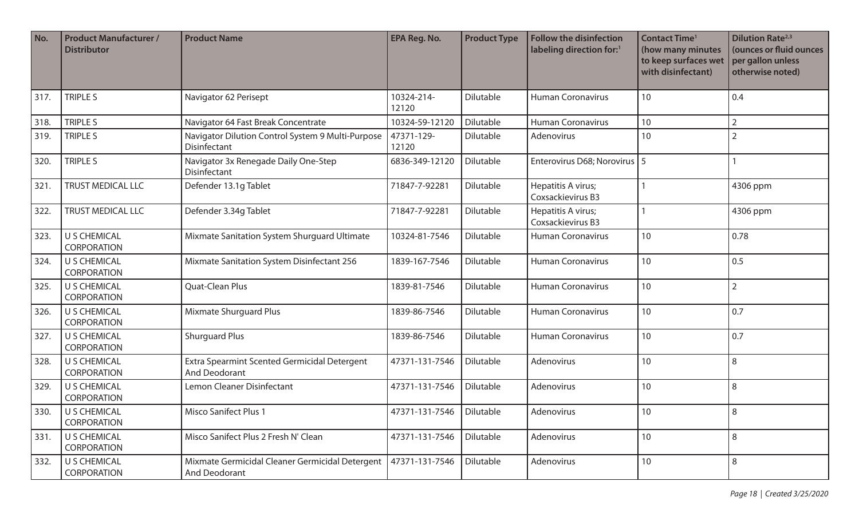| No.  | <b>Product Manufacturer /</b><br><b>Distributor</b> | <b>Product Name</b>                                                  | <b>EPA Reg. No.</b> | <b>Product Type</b> | <b>Follow the disinfection</b><br>labeling direction for:1 | <b>Contact Time<sup>1</sup></b><br>(how many minutes<br>to keep surfaces wet<br>with disinfectant) | <b>Dilution Rate</b> <sup>2,3</sup><br>(ounces or fluid ounces<br>per gallon unless<br>otherwise noted) |
|------|-----------------------------------------------------|----------------------------------------------------------------------|---------------------|---------------------|------------------------------------------------------------|----------------------------------------------------------------------------------------------------|---------------------------------------------------------------------------------------------------------|
| 317. | <b>TRIPLE S</b>                                     | Navigator 62 Perisept                                                | 10324-214-<br>12120 | Dilutable           | <b>Human Coronavirus</b>                                   | 10                                                                                                 | 0.4                                                                                                     |
| 318. | TRIPLE S                                            | Navigator 64 Fast Break Concentrate                                  | 10324-59-12120      | Dilutable           | <b>Human Coronavirus</b>                                   | 10                                                                                                 | $\overline{2}$                                                                                          |
| 319. | <b>TRIPLE S</b>                                     | Navigator Dilution Control System 9 Multi-Purpose<br>Disinfectant    | 47371-129-<br>12120 | Dilutable           | Adenovirus                                                 | 10                                                                                                 | $\overline{2}$                                                                                          |
| 320. | TRIPLE S                                            | Navigator 3x Renegade Daily One-Step<br>Disinfectant                 | 6836-349-12120      | Dilutable           | Enterovirus D68; Norovirus   5                             |                                                                                                    |                                                                                                         |
| 321. | <b>TRUST MEDICAL LLC</b>                            | Defender 13.1g Tablet                                                | 71847-7-92281       | Dilutable           | Hepatitis A virus;<br>Coxsackievirus B3                    |                                                                                                    | 4306 ppm                                                                                                |
| 322. | <b>TRUST MEDICAL LLC</b>                            | Defender 3.34g Tablet                                                | 71847-7-92281       | Dilutable           | Hepatitis A virus;<br>Coxsackievirus B3                    |                                                                                                    | 4306 ppm                                                                                                |
| 323. | U S CHEMICAL<br><b>CORPORATION</b>                  | Mixmate Sanitation System Shurguard Ultimate                         | 10324-81-7546       | Dilutable           | <b>Human Coronavirus</b>                                   | 10                                                                                                 | 0.78                                                                                                    |
| 324. | <b>U S CHEMICAL</b><br><b>CORPORATION</b>           | Mixmate Sanitation System Disinfectant 256                           | 1839-167-7546       | Dilutable           | <b>Human Coronavirus</b>                                   | 10                                                                                                 | 0.5                                                                                                     |
| 325. | U S CHEMICAL<br><b>CORPORATION</b>                  | Quat-Clean Plus                                                      | 1839-81-7546        | Dilutable           | <b>Human Coronavirus</b>                                   | 10                                                                                                 | $\overline{2}$                                                                                          |
| 326. | U S CHEMICAL<br><b>CORPORATION</b>                  | <b>Mixmate Shurguard Plus</b>                                        | 1839-86-7546        | Dilutable           | <b>Human Coronavirus</b>                                   | 10                                                                                                 | 0.7                                                                                                     |
| 327. | U S CHEMICAL<br><b>CORPORATION</b>                  | <b>Shurguard Plus</b>                                                | 1839-86-7546        | Dilutable           | <b>Human Coronavirus</b>                                   | 10                                                                                                 | 0.7                                                                                                     |
| 328. | <b>U S CHEMICAL</b><br><b>CORPORATION</b>           | Extra Spearmint Scented Germicidal Detergent<br><b>And Deodorant</b> | 47371-131-7546      | Dilutable           | Adenovirus                                                 | 10                                                                                                 | 8                                                                                                       |
| 329. | <b>U S CHEMICAL</b><br><b>CORPORATION</b>           | Lemon Cleaner Disinfectant                                           | 47371-131-7546      | Dilutable           | Adenovirus                                                 | 10                                                                                                 | 8                                                                                                       |
| 330. | U S CHEMICAL<br><b>CORPORATION</b>                  | <b>Misco Sanifect Plus 1</b>                                         | 47371-131-7546      | Dilutable           | Adenovirus                                                 | 10 <sup>°</sup>                                                                                    | 8                                                                                                       |
| 331. | U S CHEMICAL<br><b>CORPORATION</b>                  | Misco Sanifect Plus 2 Fresh N' Clean                                 | 47371-131-7546      | Dilutable           | Adenovirus                                                 | 10                                                                                                 | 8                                                                                                       |
| 332. | U S CHEMICAL<br>CORPORATION                         | Mixmate Germicidal Cleaner Germicidal Detergent<br>And Deodorant     | 47371-131-7546      | Dilutable           | Adenovirus                                                 | 10                                                                                                 | 8                                                                                                       |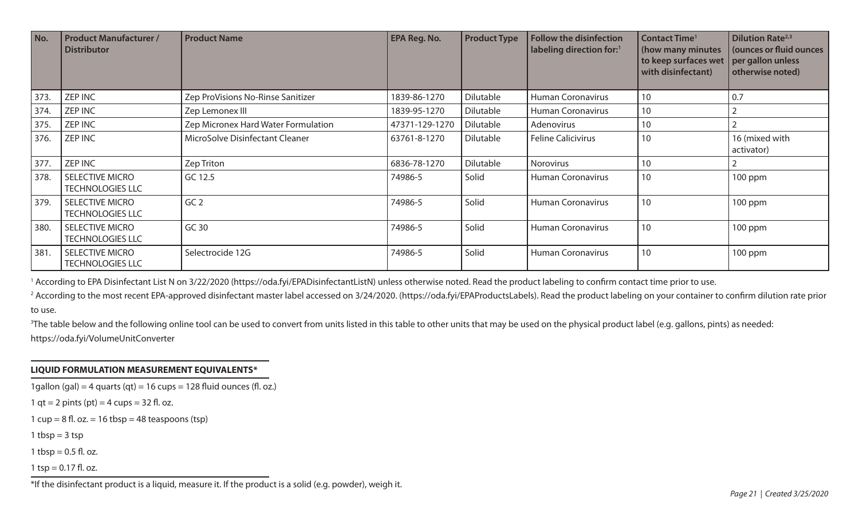| No.  | <b>Product Manufacturer /</b><br><b>Distributor</b> | <b>Product Name</b>                 | <b>EPA Reg. No.</b> | <b>Product Type</b> | <b>Follow the disinfection</b><br>labeling direction for: <sup>1</sup> | <b>Contact Time<sup>1</sup></b><br>(how many minutes<br>to keep surfaces wet<br>with disinfectant) | <b>Dilution Rate</b> <sup>2,3</sup><br>(ounces or fluid ounces<br>per gallon unless<br>otherwise noted) |
|------|-----------------------------------------------------|-------------------------------------|---------------------|---------------------|------------------------------------------------------------------------|----------------------------------------------------------------------------------------------------|---------------------------------------------------------------------------------------------------------|
| 373. | <b>ZEP INC</b>                                      | Zep ProVisions No-Rinse Sanitizer   | 1839-86-1270        | Dilutable           | <b>Human Coronavirus</b>                                               | 10                                                                                                 | 0.7                                                                                                     |
| 374. | <b>ZEP INC</b>                                      | Zep Lemonex III                     | 1839-95-1270        | Dilutable           | <b>Human Coronavirus</b>                                               | 10                                                                                                 |                                                                                                         |
| 375. | <b>ZEP INC</b>                                      | Zep Micronex Hard Water Formulation | 47371-129-1270      | Dilutable           | Adenovirus                                                             | 10                                                                                                 |                                                                                                         |
| 376. | <b>ZEP INC</b>                                      | MicroSolve Disinfectant Cleaner     | 63761-8-1270        | Dilutable           | <b>Feline Calicivirus</b>                                              | 10                                                                                                 | 16 (mixed with<br>activator)                                                                            |
| 377. | <b>ZEP INC</b>                                      | Zep Triton                          | 6836-78-1270        | <b>Dilutable</b>    | Norovirus                                                              | 10                                                                                                 |                                                                                                         |
| 378. | <b>SELECTIVE MICRO</b><br><b>TECHNOLOGIES LLC</b>   | GC 12.5                             | 74986-5             | Solid               | <b>Human Coronavirus</b>                                               | 10                                                                                                 | 100 ppm                                                                                                 |
| 379. | <b>SELECTIVE MICRO</b><br><b>TECHNOLOGIES LLC</b>   | GC <sub>2</sub>                     | 74986-5             | Solid               | <b>Human Coronavirus</b>                                               | 10                                                                                                 | 100 ppm                                                                                                 |
| 380. | <b>SELECTIVE MICRO</b><br><b>TECHNOLOGIES LLC</b>   | GC 30                               | 74986-5             | Solid               | <b>Human Coronavirus</b>                                               | 10                                                                                                 | 100 ppm                                                                                                 |
| 381. | <b>SELECTIVE MICRO</b><br><b>TECHNOLOGIES LLC</b>   | Selectrocide 12G                    | 74986-5             | Solid               | <b>Human Coronavirus</b>                                               | 10                                                                                                 | 100 ppm                                                                                                 |

<sup>1</sup> According to EPA Disinfectant List N on 3/22/2020 (https://oda.fyi/EPADisinfectantListN) unless otherwise noted. Read the product labeling to confirm contact time prior to use.

<sup>2</sup> According to the most recent EPA-approved disinfectant master label accessed on 3/24/2020. (https://oda.fyi/EPAProductsLabels). Read the product labeling on your container to confirm dilution rate prior to use.

<sup>3</sup>The table below and the following online tool can be used to convert from units listed in this table to other units that may be used on the physical product label (e.g. gallons, pints) as needed: https://oda.fyi/VolumeUnitConverter

## **LIQUID FORMULATION MEASUREMENT EQUIVALENTS\***

1 gallon (gal) = 4 quarts (qt) = 16 cups = 128 fluid ounces (fl. oz.)

1 qt = 2 pints (pt) = 4 cups =  $32$  fl. oz.

1  $cup = 8$  fl. oz. = 16 tbsp = 48 teaspoons (tsp)

1 tbsp  $=$  3 tsp

1 tbsp =  $0.5$  fl. oz.

1 tsp =  $0.17$  fl. oz.

\*If the disinfectant product is a liquid, measure it. If the product is a solid (e.g. powder), weigh it.